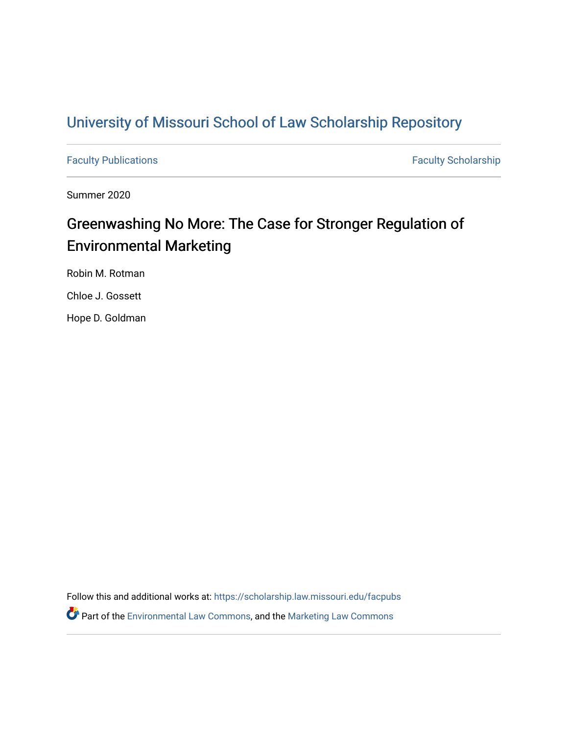# [University of Missouri School of Law Scholarship Repository](https://scholarship.law.missouri.edu/)

[Faculty Publications](https://scholarship.law.missouri.edu/facpubs) **Faculty Scholarship** 

Summer 2020

# Greenwashing No More: The Case for Stronger Regulation of Environmental Marketing

Robin M. Rotman

Chloe J. Gossett

Hope D. Goldman

Follow this and additional works at: [https://scholarship.law.missouri.edu/facpubs](https://scholarship.law.missouri.edu/facpubs?utm_source=scholarship.law.missouri.edu%2Ffacpubs%2F972&utm_medium=PDF&utm_campaign=PDFCoverPages)  Part of the [Environmental Law Commons](http://network.bepress.com/hgg/discipline/599?utm_source=scholarship.law.missouri.edu%2Ffacpubs%2F972&utm_medium=PDF&utm_campaign=PDFCoverPages), and the [Marketing Law Commons](http://network.bepress.com/hgg/discipline/1045?utm_source=scholarship.law.missouri.edu%2Ffacpubs%2F972&utm_medium=PDF&utm_campaign=PDFCoverPages)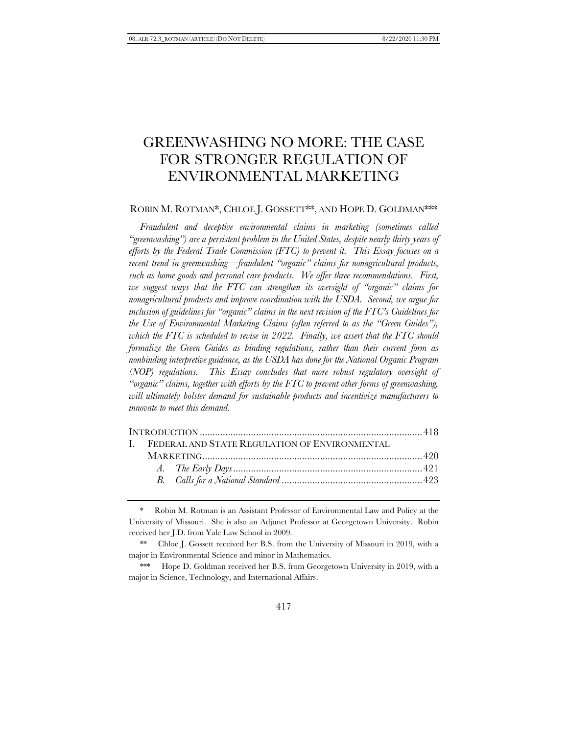# GREENWASHING NO MORE: THE CASE FOR STRONGER REGULATION OF ENVIRONMENTAL MARKETING

## ROBIN M. ROTMAN\*, CHLOE J. GOSSETT\*\*, AND HOPE D. GOLDMAN\*\*\*

*Fraudulent and deceptive environmental claims in marketing (sometimes called "greenwashing") are a persistent problem in the United States, despite nearly thirty years of efforts by the Federal Trade Commission (FTC) to prevent it. This Essay focuses on a recent trend in greenwashing—fraudulent "organic" claims for nonagricultural products, such as home goods and personal care products. We offer three recommendations. First, we suggest ways that the FTC can strengthen its oversight of "organic" claims for nonagricultural products and improve coordination with the USDA. Second, we argue for inclusion of guidelines for "organic" claims in the next revision of the FTC's Guidelines for the Use of Environmental Marketing Claims (often referred to as the "Green Guides"), which the FTC is scheduled to revise in 2022. Finally, we assert that the FTC should formalize the Green Guides as binding regulations, rather than their current form as nonbinding interpretive guidance, as the USDA has done for the National Organic Program (NOP) regulations. This Essay concludes that more robust regulatory oversight of "organic" claims, together with efforts by the FTC to prevent other forms of greenwashing, will ultimately bolster demand for sustainable products and incentivize manufacturers to innovate to meet this demand.*

| I. FEDERAL AND STATE REGULATION OF ENVIRONMENTAL |  |  |  |
|--------------------------------------------------|--|--|--|
|                                                  |  |  |  |
|                                                  |  |  |  |
|                                                  |  |  |  |
|                                                  |  |  |  |

<sup>\*</sup> Robin M. Rotman is an Assistant Professor of Environmental Law and Policy at the University of Missouri. She is also an Adjunct Professor at Georgetown University. Robin received her J.D. from Yale Law School in 2009.

<sup>\*\*</sup> Chloe J. Gossett received her B.S. from the University of Missouri in 2019, with a major in Environmental Science and minor in Mathematics.

<sup>\*\*\*</sup> Hope D. Goldman received her B.S. from Georgetown University in 2019, with a major in Science, Technology, and International Affairs.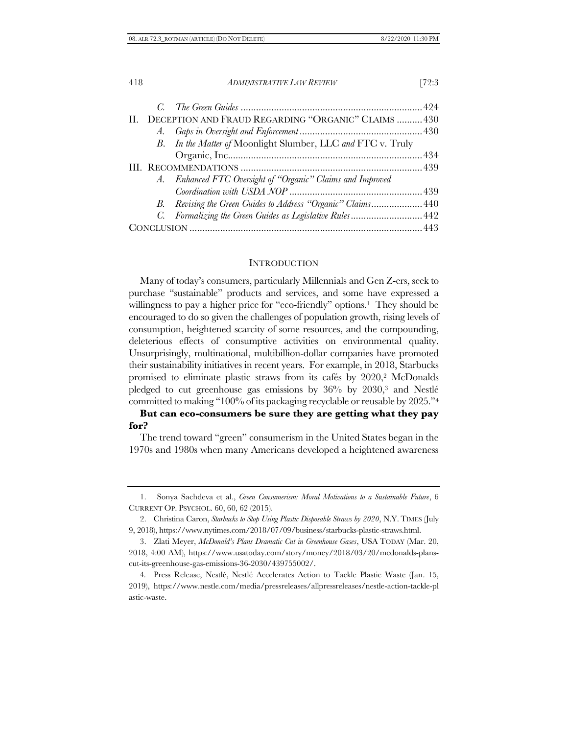|  | II. DECEPTION AND FRAUD REGARDING "ORGANIC" CLAIMS  430      |  |
|--|--------------------------------------------------------------|--|
|  |                                                              |  |
|  | B. In the Matter of Moonlight Slumber, LLC and FTC v. Truly  |  |
|  |                                                              |  |
|  |                                                              |  |
|  | A. Enhanced FTC Oversight of "Organic" Claims and Improved   |  |
|  |                                                              |  |
|  | B. Revising the Green Guides to Address "Organic" Claims 440 |  |
|  | C. Formalizing the Green Guides as Legislative Rules 442     |  |
|  |                                                              |  |

#### **INTRODUCTION**

Many of today's consumers, particularly Millennials and Gen Z-ers, seek to purchase "sustainable" products and services, and some have expressed a willingness to pay a higher price for "eco-friendly" options. <sup>1</sup> They should be encouraged to do so given the challenges of population growth, rising levels of consumption, heightened scarcity of some resources, and the compounding, deleterious effects of consumptive activities on environmental quality. Unsurprisingly, multinational, multibillion-dollar companies have promoted their sustainability initiatives in recent years. For example, in 2018, Starbucks promised to eliminate plastic straws from its cafés by 2020,<sup>2</sup> McDonalds pledged to cut greenhouse gas emissions by 36% by 2030,<sup>3</sup> and Nestlé committed to making "100% of its packaging recyclable or reusable by 2025."<sup>4</sup>

# **But can eco-consumers be sure they are getting what they pay for?**

The trend toward "green" consumerism in the United States began in the 1970s and 1980s when many Americans developed a heightened awareness

<sup>1.</sup> Sonya Sachdeva et al., *Green Consumerism: Moral Motivations to a Sustainable Future*, 6 CURRENT OP. PSYCHOL. 60, 60, 62 (2015).

<sup>2.</sup> Christina Caron, *Starbucks to Stop Using Plastic Disposable Straws by 2020*, N.Y. TIMES (July 9, 2018), https://www.nytimes.com/2018/07/09/business/starbucks-plastic-straws.html.

<sup>3.</sup> Zlati Meyer, *McDonald's Plans Dramatic Cut in Greenhouse Gases*, USA TODAY (Mar. 20, 2018, 4:00 AM), https://www.usatoday.com/story/money/2018/03/20/mcdonalds-planscut-its-greenhouse-gas-emissions-36-2030/439755002/.

<sup>4</sup>*.* Press Release, Nestlé, Nestlé Accelerates Action to Tackle Plastic Waste (Jan. 15, 2019), https://www.nestle.com/media/pressreleases/allpressreleases/nestle-action-tackle-pl astic-waste.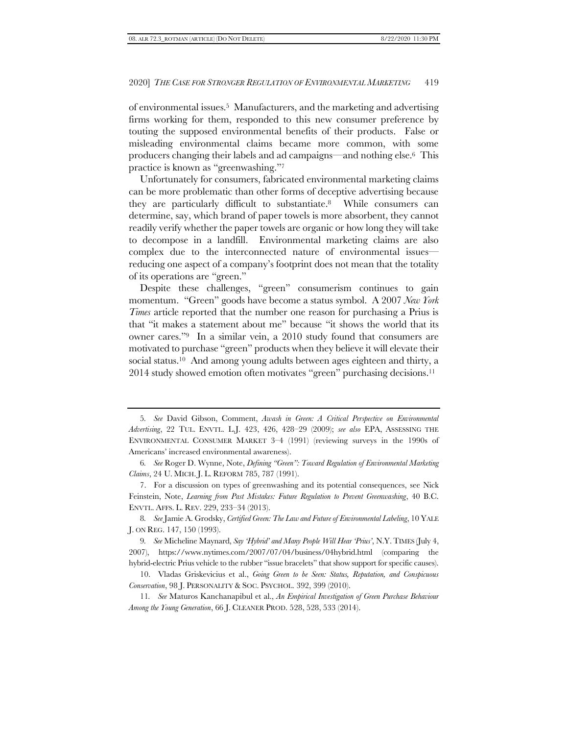<span id="page-3-2"></span>of environmental issues. <sup>5</sup> Manufacturers, and the marketing and advertising firms working for them, responded to this new consumer preference by touting the supposed environmental benefits of their products. False or misleading environmental claims became more common, with some producers changing their labels and ad campaigns—and nothing else. <sup>6</sup> This practice is known as "greenwashing."<sup>7</sup>

<span id="page-3-1"></span><span id="page-3-0"></span>Unfortunately for consumers, fabricated environmental marketing claims can be more problematic than other forms of deceptive advertising because they are particularly difficult to substantiate. <sup>8</sup> While consumers can determine, say, which brand of paper towels is more absorbent, they cannot readily verify whether the paper towels are organic or how long they will take to decompose in a landfill. Environmental marketing claims are also complex due to the interconnected nature of environmental issues reducing one aspect of a company's footprint does not mean that the totality of its operations are "green."

Despite these challenges, "green" consumerism continues to gain momentum. "Green" goods have become a status symbol. A 2007 *New York Times* article reported that the number one reason for purchasing a Prius is that "it makes a statement about me" because "it shows the world that its owner cares."9 In a similar vein, a 2010 study found that consumers are motivated to purchase "green" products when they believe it will elevate their social status. <sup>10</sup> And among young adults between ages eighteen and thirty, a 2014 study showed emotion often motivates "green" purchasing decisions. 11

8*. See* Jamie A. Grodsky, *Certified Green: The Law and Future of Environmental Labeling*, 10 YALE J. ON REG. 147, 150 (1993).

9*. See* Micheline Maynard, *Say 'Hybrid' and Many People Will Hear 'Prius'*, N.Y. TIMES (July 4, 2007), https://www.nytimes.com/2007/07/04/business/04hybrid.html (comparing the hybrid-electric Prius vehicle to the rubber "issue bracelets" that show support for specific causes).

10. Vladas Griskevicius et al., *Going Green to be Seen: Status, Reputation, and Conspicuous Conservation*, 98 J. PERSONALITY & SOC. PSYCHOL. 392, 399 (2010).

11*. See* Maturos Kanchanapibul et al., *An Empirical Investigation of Green Purchase Behaviour Among the Young Generation*, 66 J. CLEANER PROD. 528, 528, 533 (2014).

<sup>5</sup>*. See* David Gibson, Comment, *Awash in Green: A Critical Perspective on Environmental Advertising*, 22 TUL. ENVTL. L.J. 423, 426, 428–29 (2009); *see also* EPA, ASSESSING THE ENVIRONMENTAL CONSUMER MARKET 3–4 (1991) (reviewing surveys in the 1990s of Americans' increased environmental awareness).

<sup>6</sup>*. See* Roger D. Wynne, Note, *Defining "Green": Toward Regulation of Environmental Marketing Claims*, 24 U. MICH. J. L. REFORM 785, 787 (1991).

<sup>7.</sup> For a discussion on types of greenwashing and its potential consequences, see Nick Feinstein, Note, *Learning from Past Mistakes: Future Regulation to Prevent Greenwashing*, 40 B.C. ENVTL. AFFS. L. REV. 229, 233–34 (2013).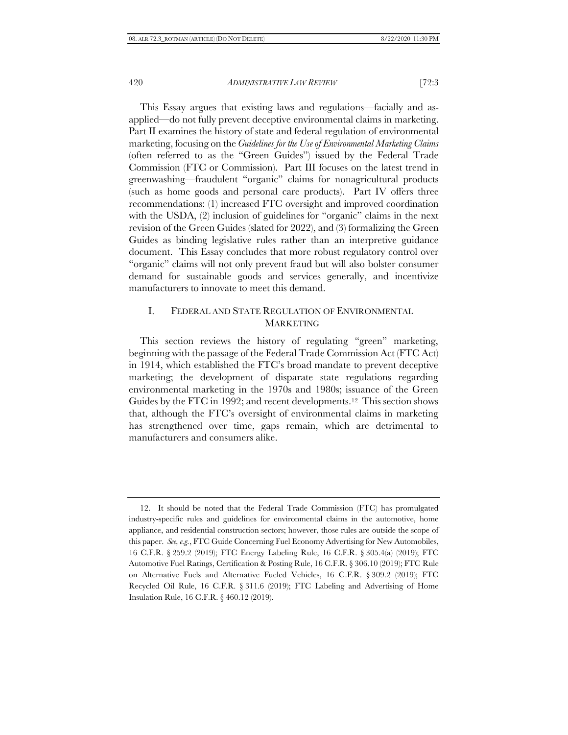This Essay argues that existing laws and regulations—facially and asapplied—do not fully prevent deceptive environmental claims in marketing. Part II examines the history of state and federal regulation of environmental marketing, focusing on the *Guidelines for the Use of Environmental Marketing Claims* (often referred to as the "Green Guides") issued by the Federal Trade Commission (FTC or Commission). Part III focuses on the latest trend in greenwashing—fraudulent "organic" claims for nonagricultural products (such as home goods and personal care products). Part IV offers three recommendations: (1) increased FTC oversight and improved coordination with the USDA, (2) inclusion of guidelines for "organic" claims in the next revision of the Green Guides (slated for 2022), and (3) formalizing the Green Guides as binding legislative rules rather than an interpretive guidance document. This Essay concludes that more robust regulatory control over "organic" claims will not only prevent fraud but will also bolster consumer demand for sustainable goods and services generally, and incentivize manufacturers to innovate to meet this demand.

# I. FEDERAL AND STATE REGULATION OF ENVIRONMENTAL MARKETING

This section reviews the history of regulating "green" marketing, beginning with the passage of the Federal Trade Commission Act (FTC Act) in 1914, which established the FTC's broad mandate to prevent deceptive marketing; the development of disparate state regulations regarding environmental marketing in the 1970s and 1980s; issuance of the Green Guides by the FTC in 1992; and recent developments. <sup>12</sup> This section shows that, although the FTC's oversight of environmental claims in marketing has strengthened over time, gaps remain, which are detrimental to manufacturers and consumers alike.

<sup>12.</sup> It should be noted that the Federal Trade Commission (FTC) has promulgated industry-specific rules and guidelines for environmental claims in the automotive, home appliance, and residential construction sectors; however, those rules are outside the scope of this paper. *See, e.g.*, FTC Guide Concerning Fuel Economy Advertising for New Automobiles, 16 C.F.R. § 259.2 (2019); FTC Energy Labeling Rule, 16 C.F.R. § 305.4(a) (2019); FTC Automotive Fuel Ratings, Certification & Posting Rule, 16 C.F.R. § 306.10 (2019); FTC Rule on Alternative Fuels and Alternative Fueled Vehicles, 16 C.F.R. § 309.2 (2019); FTC Recycled Oil Rule, 16 C.F.R. § 311.6 (2019); FTC Labeling and Advertising of Home Insulation Rule, 16 C.F.R. § 460.12 (2019).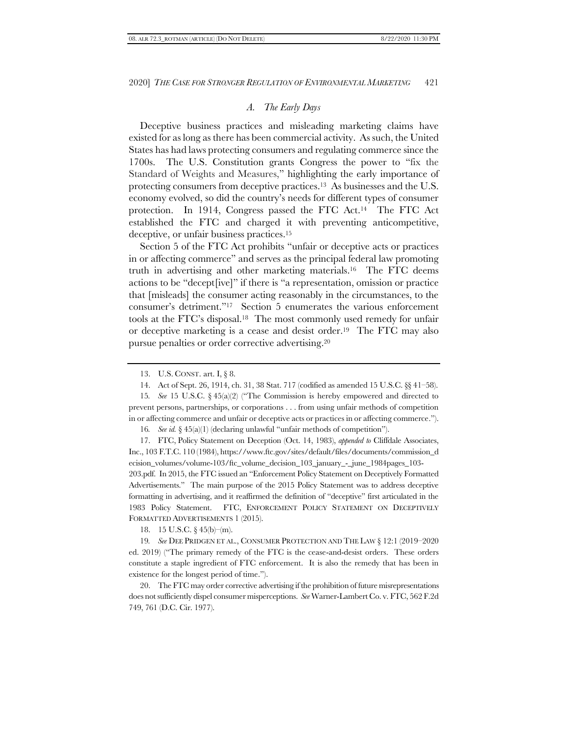# *A. The Early Days*

Deceptive business practices and misleading marketing claims have existed for as long as there has been commercial activity. As such, the United States has had laws protecting consumers and regulating commerce since the 1700s. The U.S. Constitution grants Congress the power to "fix the Standard of Weights and Measures," highlighting the early importance of protecting consumers from deceptive practices. <sup>13</sup> As businesses and the U.S. economy evolved, so did the country's needs for different types of consumer protection. In 1914, Congress passed the FTC Act. <sup>14</sup> The FTC Act established the FTC and charged it with preventing anticompetitive, deceptive, or unfair business practices. 15

Section 5 of the FTC Act prohibits "unfair or deceptive acts or practices in or affecting commerce" and serves as the principal federal law promoting truth in advertising and other marketing materials. <sup>16</sup> The FTC deems actions to be "decept[ive]" if there is "a representation, omission or practice that [misleads] the consumer acting reasonably in the circumstances, to the consumer's detriment."17 Section 5 enumerates the various enforcement tools at the FTC's disposal. <sup>18</sup> The most commonly used remedy for unfair or deceptive marketing is a cease and desist order. <sup>19</sup> The FTC may also pursue penalties or order corrective advertising. 20

15*. See* 15 U.S.C. § 45(a)(2) ("The Commission is hereby empowered and directed to prevent persons, partnerships, or corporations . . . from using unfair methods of competition in or affecting commerce and unfair or deceptive acts or practices in or affecting commerce.").

16*. See id.* § 45(a)(1) (declaring unlawful "unfair methods of competition").

17. FTC, Policy Statement on Deception (Oct. 14, 1983), *appended to* Cliffdale Associates, Inc., 103 F.T.C. 110 (1984), https://www.ftc.gov/sites/default/files/documents/commission\_d ecision\_volumes/volume-103/ftc\_volume\_decision\_103\_january\_-\_june\_1984pages\_103- 203.pdf. In 2015, the FTC issued an "Enforcement Policy Statement on Deceptively Formatted Advertisements." The main purpose of the 2015 Policy Statement was to address deceptive formatting in advertising, and it reaffirmed the definition of "deceptive" first articulated in the 1983 Policy Statement. FTC, ENFORCEMENT POLICY STATEMENT ON DECEPTIVELY FORMATTED ADVERTISEMENTS 1 (2015).

18. 15 U.S.C.  $\S$  45(b)–(m).

19*. See* DEE PRIDGEN ET AL., CONSUMER PROTECTION AND THE LAW § 12:1 (2019–2020 ed. 2019) ("The primary remedy of the FTC is the cease-and-desist orders. These orders constitute a staple ingredient of FTC enforcement. It is also the remedy that has been in existence for the longest period of time.").

20. The FTC may order corrective advertising if the prohibition of future misrepresentations does not sufficiently dispel consumer misperceptions. *See* Warner-Lambert Co. v. FTC, 562 F.2d 749, 761 (D.C. Cir. 1977).

<span id="page-5-0"></span><sup>13.</sup> U.S. CONST. art. I, § 8.

<sup>14.</sup> Act of Sept. 26, 1914, ch. 31, 38 Stat. 717 (codified as amended 15 U.S.C. §§ 41–58).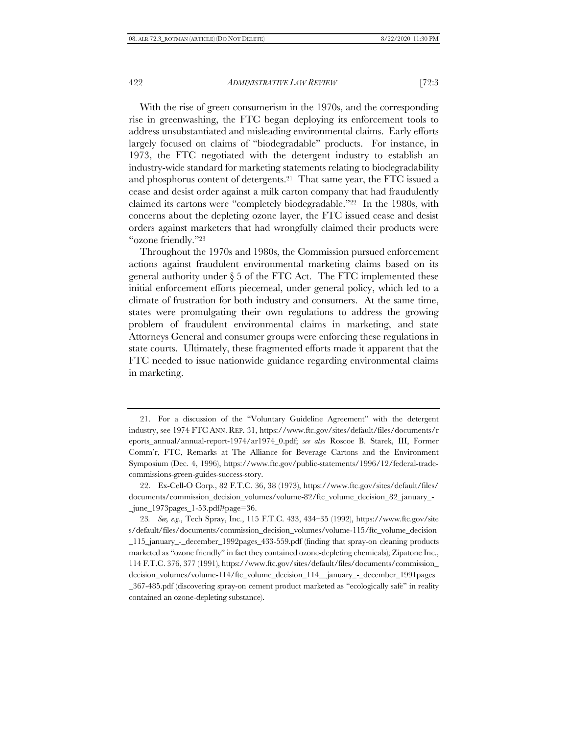With the rise of green consumerism in the 1970s, and the corresponding rise in greenwashing, the FTC began deploying its enforcement tools to address unsubstantiated and misleading environmental claims. Early efforts largely focused on claims of "biodegradable" products. For instance, in 1973, the FTC negotiated with the detergent industry to establish an industry-wide standard for marketing statements relating to biodegradability and phosphorus content of detergents. <sup>21</sup> That same year, the FTC issued a cease and desist order against a milk carton company that had fraudulently claimed its cartons were "completely biodegradable."22 In the 1980s, with concerns about the depleting ozone layer, the FTC issued cease and desist orders against marketers that had wrongfully claimed their products were "ozone friendly."<sup>23</sup>

Throughout the 1970s and 1980s, the Commission pursued enforcement actions against fraudulent environmental marketing claims based on its general authority under  $\S 5$  of the FTC Act. The FTC implemented these initial enforcement efforts piecemeal, under general policy, which led to a climate of frustration for both industry and consumers. At the same time, states were promulgating their own regulations to address the growing problem of fraudulent environmental claims in marketing, and state Attorneys General and consumer groups were enforcing these regulations in state courts. Ultimately, these fragmented efforts made it apparent that the FTC needed to issue nationwide guidance regarding environmental claims in marketing.

<sup>21.</sup> For a discussion of the "Voluntary Guideline Agreement" with the detergent industry, see 1974 FTC ANN. REP. 31, https://www.ftc.gov/sites/default/files/documents/r eports\_annual/annual-report-1974/ar1974\_0.pdf; *see also* Roscoe B. Starek, III, Former Comm'r, FTC, Remarks at The Alliance for Beverage Cartons and the Environment Symposium (Dec. 4, 1996), https://www.ftc.gov/public-statements/1996/12/federal-tradecommissions-green-guides-success-story.

<sup>22.</sup> Ex-Cell-O Corp*.*, 82 F.T.C. 36, 38 (1973), https://www.ftc.gov/sites/default/files/ documents/commission\_decision\_volumes/volume-82/ftc\_volume\_decision\_82\_january\_- \_june\_1973pages\_1-53.pdf#page=36.

<sup>23</sup>*. See, e.g.*, Tech Spray, Inc., 115 F.T.C. 433, 434–35 (1992), https://www.ftc.gov/site s/default/files/documents/commission\_decision\_volumes/volume-115/ftc\_volume\_decision \_115\_january\_-\_december\_1992pages\_433-559.pdf (finding that spray-on cleaning products marketed as "ozone friendly" in fact they contained ozone-depleting chemicals); Zipatone Inc., 114 F.T.C. 376, 377 (1991), https://www.ftc.gov/sites/default/files/documents/commission\_ decision\_volumes/volume-114/ftc\_volume\_decision\_114\_\_january\_-\_december\_1991pages \_367-485.pdf (discovering spray-on cement product marketed as "ecologically safe" in reality contained an ozone-depleting substance).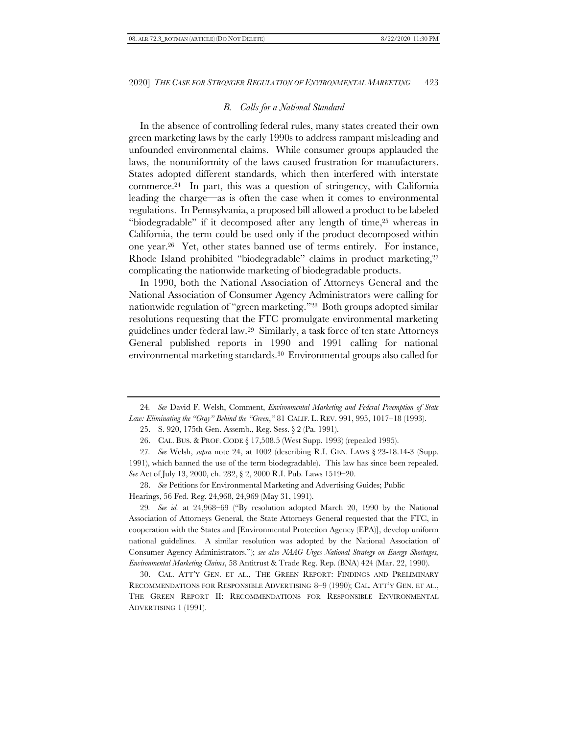#### *B. Calls for a National Standard*

<span id="page-7-0"></span>In the absence of controlling federal rules, many states created their own green marketing laws by the early 1990s to address rampant misleading and unfounded environmental claims. While consumer groups applauded the laws, the nonuniformity of the laws caused frustration for manufacturers. States adopted different standards, which then interfered with interstate commerce. <sup>24</sup> In part, this was a question of stringency, with California leading the charge—as is often the case when it comes to environmental regulations. In Pennsylvania, a proposed bill allowed a product to be labeled "biodegradable" if it decomposed after any length of time,<sup>25</sup> whereas in California, the term could be used only if the product decomposed within one year. <sup>26</sup> Yet, other states banned use of terms entirely. For instance, Rhode Island prohibited "biodegradable" claims in product marketing,<sup>27</sup> complicating the nationwide marketing of biodegradable products.

In 1990, both the National Association of Attorneys General and the National Association of Consumer Agency Administrators were calling for nationwide regulation of "green marketing."28 Both groups adopted similar resolutions requesting that the FTC promulgate environmental marketing guidelines under federal law. <sup>29</sup> Similarly, a task force of ten state Attorneys General published reports in 1990 and 1991 calling for national environmental marketing standards. <sup>30</sup> Environmental groups also called for

25. S. 920, 175th Gen. Assemb., Reg. Sess. § 2 (Pa. 1991).

26. CAL. BUS. & PROF. CODE § 17,508.5 (West Supp. 1993) (repealed 1995).

27*. See* Welsh, *supra* note [24,](#page-7-0) at 1002 (describing R.I. GEN. LAWS § 23-18.14-3 (Supp. 1991), which banned the use of the term biodegradable). This law has since been repealed. *See* Act of July 13, 2000, ch. 282, § 2, 2000 R.I. Pub. Laws 1519–20.

28. *See* Petitions for Environmental Marketing and Advertising Guides; Public Hearings, 56 Fed. Reg. 24,968, 24,969 (May 31, 1991).

29*. See id.* at 24,968–69 ("By resolution adopted March 20, 1990 by the National Association of Attorneys General, the State Attorneys General requested that the FTC, in cooperation with the States and [Environmental Protection Agency (EPA)], develop uniform national guidelines. A similar resolution was adopted by the National Association of Consumer Agency Administrators."); *see also NAAG Urges National Strategy on Energy Shortages, Environmental Marketing Claims*, 58 Antitrust & Trade Reg. Rep. (BNA) 424 (Mar. 22, 1990).

30. CAL. ATT'Y GEN. ET AL., THE GREEN REPORT: FINDINGS AND PRELIMINARY RECOMMENDATIONS FOR RESPONSIBLE ADVERTISING 8–9 (1990); CAL. ATT'Y GEN. ET AL., THE GREEN REPORT II: RECOMMENDATIONS FOR RESPONSIBLE ENVIRONMENTAL ADVERTISING 1 (1991).

<sup>24</sup>*. See* David F. Welsh, Comment, *Environmental Marketing and Federal Preemption of State Law: Eliminating the "Gray" Behind the "Green*,*"* 81 CALIF. L. REV. 991, 995, 1017–18 (1993).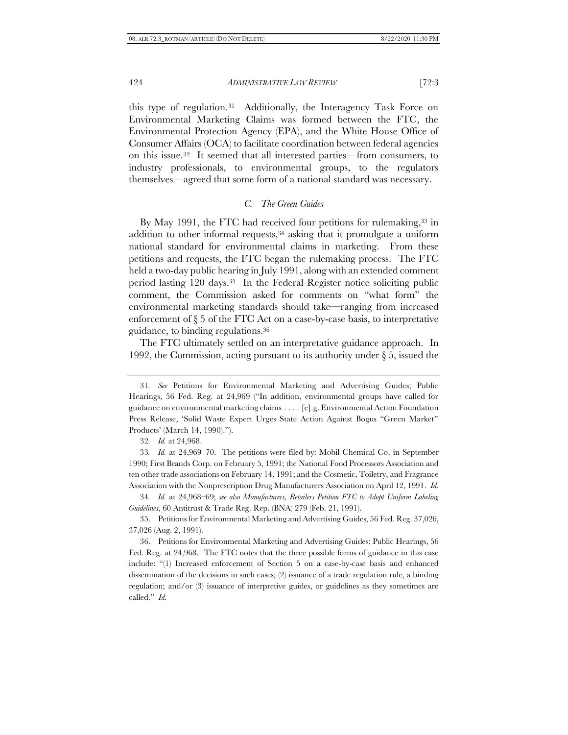this type of regulation. <sup>31</sup> Additionally, the Interagency Task Force on Environmental Marketing Claims was formed between the FTC, the Environmental Protection Agency (EPA), and the White House Office of Consumer Affairs (OCA) to facilitate coordination between federal agencies on this issue. <sup>32</sup> It seemed that all interested parties—from consumers, to industry professionals, to environmental groups, to the regulators themselves—agreed that some form of a national standard was necessary.

# *C. The Green Guides*

By May 1991, the FTC had received four petitions for rulemaking,<sup>33</sup> in addition to other informal requests,<sup>34</sup> asking that it promulgate a uniform national standard for environmental claims in marketing. From these petitions and requests, the FTC began the rulemaking process. The FTC held a two-day public hearing in July 1991, along with an extended comment period lasting 120 days. <sup>35</sup> In the Federal Register notice soliciting public comment, the Commission asked for comments on "what form" the environmental marketing standards should take—ranging from increased enforcement of § 5 of the FTC Act on a case-by-case basis, to interpretative guidance, to binding regulations. 36

The FTC ultimately settled on an interpretative guidance approach. In 1992, the Commission, acting pursuant to its authority under § 5, issued the

<sup>31</sup>*. See* Petitions for Environmental Marketing and Advertising Guides; Public Hearings, 56 Fed. Reg. at 24,969 ("In addition, environmental groups have called for guidance on environmental marketing claims . . . . [e].g. Environmental Action Foundation Press Release, 'Solid Waste Expert Urges State Action Against Bogus "Green Market" Products' (March 14, 1990).").

<sup>32</sup>*. Id.* at 24,968.

<sup>33</sup>*. Id.* at 24,969–70. The petitions were filed by: Mobil Chemical Co. in September 1990; First Brands Corp. on February 5, 1991; the National Food Processors Association and ten other trade associations on February 14, 1991; and the Cosmetic, Toiletry, and Fragrance Association with the Nonprescription Drug Manufacturers Association on April 12, 1991. *Id.*

<sup>34</sup>*. Id.* at 24,968–69; *see also Manufacturers, Retailers Petition FTC to Adopt Uniform Labeling Guidelines*, 60 Antitrust & Trade Reg. Rep. (BNA) 279 (Feb. 21, 1991).

<sup>35.</sup> Petitions for Environmental Marketing and Advertising Guides, 56 Fed. Reg. 37,026, 37,026 (Aug. 2, 1991).

<sup>36.</sup> Petitions for Environmental Marketing and Advertising Guides; Public Hearings, 56 Fed. Reg. at 24,968.The FTC notes that the three possible forms of guidance in this case include: "(1) Increased enforcement of Section 5 on a case-by-case basis and enhanced dissemination of the decisions in such cases; (2) issuance of a trade regulation rule, a binding regulation; and/or (3) issuance of interpretive guides, or guidelines as they sometimes are called." *Id.*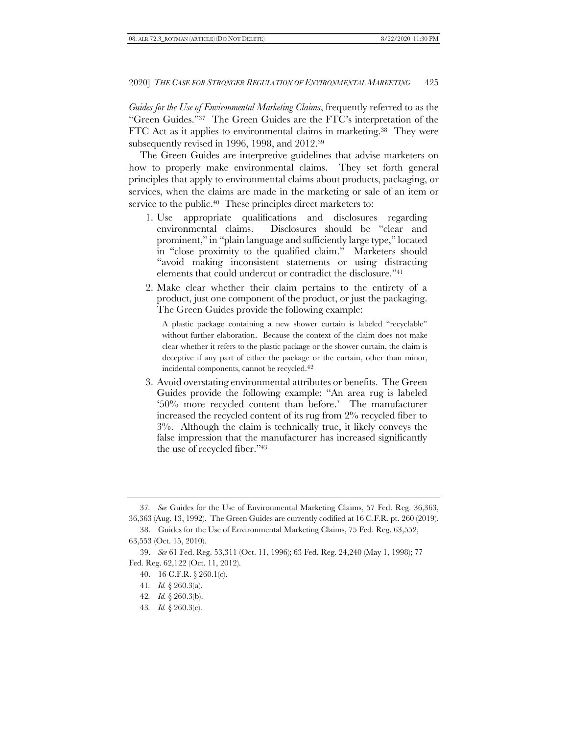*Guides for the Use of Environmental Marketing Claims*, frequently referred to as the "Green Guides."<sup>37</sup> The Green Guides are the FTC's interpretation of the FTC Act as it applies to environmental claims in marketing. <sup>38</sup> They were subsequently revised in 1996, 1998, and 2012. 39

The Green Guides are interpretive guidelines that advise marketers on how to properly make environmental claims. They set forth general principles that apply to environmental claims about products, packaging, or services, when the claims are made in the marketing or sale of an item or service to the public. <sup>40</sup> These principles direct marketers to:

- 1. Use appropriate qualifications and disclosures regarding environmental claims. Disclosures should be "clear and prominent," in "plain language and sufficiently large type," located in "close proximity to the qualified claim." Marketers should "avoid making inconsistent statements or using distracting elements that could undercut or contradict the disclosure."<sup>41</sup>
- 2. Make clear whether their claim pertains to the entirety of a product, just one component of the product, or just the packaging. The Green Guides provide the following example:

A plastic package containing a new shower curtain is labeled "recyclable" without further elaboration. Because the context of the claim does not make clear whether it refers to the plastic package or the shower curtain, the claim is deceptive if any part of either the package or the curtain, other than minor, incidental components, cannot be recycled. 42

3. Avoid overstating environmental attributes or benefits. The Green Guides provide the following example: "An area rug is labeled '50% more recycled content than before.' The manufacturer increased the recycled content of its rug from 2% recycled fiber to 3%. Although the claim is technically true, it likely conveys the false impression that the manufacturer has increased significantly the use of recycled fiber."<sup>43</sup>

43*. Id.* § 260.3(c).

<sup>37</sup>*. See* Guides for the Use of Environmental Marketing Claims, 57 Fed. Reg. 36,363, 36,363 (Aug. 13, 1992). The Green Guides are currently codified at 16 C.F.R. pt. 260 (2019).

<sup>38.</sup> Guides for the Use of Environmental Marketing Claims, 75 Fed. Reg. 63,552, 63,553 (Oct. 15, 2010).

<sup>39.</sup> *See* 61 Fed. Reg. 53,311 (Oct. 11, 1996); 63 Fed. Reg. 24,240 (May 1, 1998); 77 Fed. Reg. 62,122 (Oct. 11, 2012).

<sup>40.</sup> 16 C.F.R. § 260.1(c).

<sup>41</sup>*. Id.* § 260.3(a).

<sup>42</sup>*. Id.* § 260.3(b).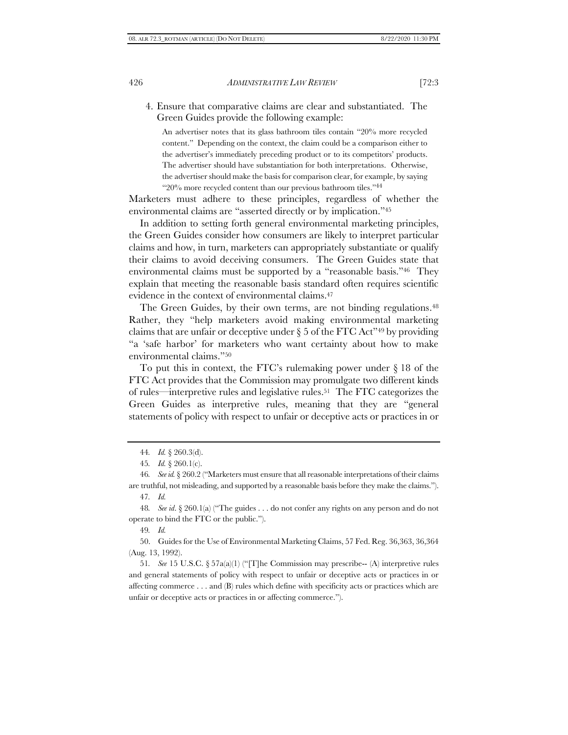4. Ensure that comparative claims are clear and substantiated. The Green Guides provide the following example:

An advertiser notes that its glass bathroom tiles contain "20% more recycled content." Depending on the context, the claim could be a comparison either to the advertiser's immediately preceding product or to its competitors' products. The advertiser should have substantiation for both interpretations. Otherwise, the advertiser should make the basis for comparison clear, for example, by saying "20% more recycled content than our previous bathroom tiles." 44

Marketers must adhere to these principles, regardless of whether the environmental claims are "asserted directly or by implication."<sup>45</sup>

In addition to setting forth general environmental marketing principles, the Green Guides consider how consumers are likely to interpret particular claims and how, in turn, marketers can appropriately substantiate or qualify their claims to avoid deceiving consumers. The Green Guides state that environmental claims must be supported by a "reasonable basis."46 They explain that meeting the reasonable basis standard often requires scientific evidence in the context of environmental claims. 47

The Green Guides, by their own terms, are not binding regulations. 48 Rather, they "help marketers avoid making environmental marketing claims that are unfair or deceptive under  $\S 5$  of the FTC Act<sup>349</sup> by providing "a 'safe harbor' for marketers who want certainty about how to make environmental claims."<sup>50</sup>

To put this in context, the FTC's rulemaking power under § 18 of the FTC Act provides that the Commission may promulgate two different kinds of rules—interpretive rules and legislative rules. <sup>51</sup> The FTC categorizes the Green Guides as interpretive rules, meaning that they are "general statements of policy with respect to unfair or deceptive acts or practices in or

49*. Id.*

50. Guides for the Use of Environmental Marketing Claims, 57 Fed. Reg. 36,363, 36,364 (Aug. 13, 1992).

51*. See* 15 U.S.C. § 57a(a)(1) ("[T]he Commission may prescribe-- (A) interpretive rules and general statements of policy with respect to unfair or deceptive acts or practices in or affecting [commerce](https://www.law.cornell.edu/uscode/text/15/57a) . . . and (B) rules which define with specificity acts or practices which are unfair or deceptive acts or practices in or affectin[g commerce.](https://www.law.cornell.edu/uscode/text/15/57a)").

<sup>44</sup>*. Id.* § 260.3(d).

<sup>45</sup>*. Id.* § 260.1(c).

<sup>46</sup>*. See id.*§ 260.2 ("Marketers must ensure that all reasonable interpretations of their claims are truthful, not misleading, and supported by a reasonable basis before they make the claims."). 47*. Id.*

<sup>48</sup>*. See id*. § 260.1(a) ("The guides . . . do not confer any rights on any person and do not operate to bind the FTC or the public.").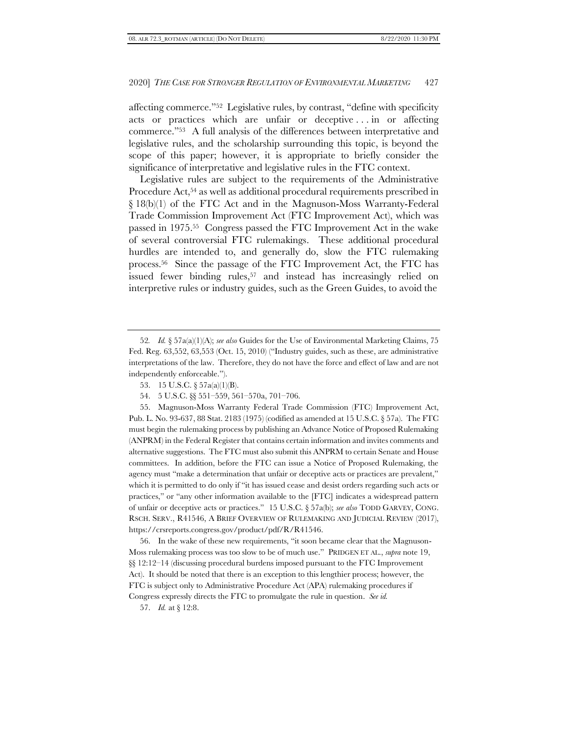affecting commerce."<sup>52</sup> Legislative rules, by contrast, "define with specificity acts or practices which are unfair or deceptive ... in or affecting commerce."53 A full analysis of the differences between interpretative and legislative rules, and the scholarship surrounding this topic, is beyond the scope of this paper; however, it is appropriate to briefly consider the significance of interpretative and legislative rules in the FTC context.

Legislative rules are subject to the requirements of the Administrative Procedure Act,<sup>54</sup> as well as additional procedural requirements prescribed in § 18(b)(1) of the FTC Act and in the Magnuson-Moss Warranty-Federal Trade Commission Improvement Act (FTC Improvement Act), which was passed in 1975. <sup>55</sup> Congress passed the FTC Improvement Act in the wake of several controversial FTC rulemakings. These additional procedural hurdles are intended to, and generally do, slow the FTC rulemaking process. <sup>56</sup> Since the passage of the FTC Improvement Act, the FTC has issued fewer binding rules, <sup>57</sup> and instead has increasingly relied on interpretive rules or industry guides, such as the Green Guides, to avoid the

55. Magnuson-Moss Warranty Federal Trade Commission (FTC) Improvement Act, Pub. L. No. 93-637, 88 Stat. 2183 (1975) (codified as amended at 15 U.S.C. § 57a). The FTC must begin the rulemaking process by publishing an Advance Notice of Proposed Rulemaking (ANPRM) in the Federal Register that contains certain information and invites comments and alternative suggestions. The FTC must also submit this ANPRM to certain Senate and House committees. In addition, before the FTC can issue a Notice of Proposed Rulemaking, the agency must "make a determination that unfair or deceptive acts or practices are prevalent," which it is permitted to do only if "it has issued cease and desist orders regarding such acts or practices," or "any other information available to the [FTC] indicates a widespread pattern of unfair or deceptive acts or practices." 15 U.S.C. § 57a(b); *see also* TODD GARVEY, CONG. RSCH. SERV., R41546, A BRIEF OVERVIEW OF RULEMAKING AND JUDICIAL REVIEW (2017), https://crsreports.congress.gov/product/pdf/R/R41546.

56. In the wake of these new requirements, "it soon became clear that the Magnuson-Moss rulemaking process was too slow to be of much use." PRIDGEN ET AL., *supra* not[e 19,](#page-5-0)  §§ 12:12–14 (discussing procedural burdens imposed pursuant to the FTC Improvement Act). It should be noted that there is an exception to this lengthier process; however, the FTC is subject only to Administrative Procedure Act (APA) rulemaking procedures if Congress expressly directs the FTC to promulgate the rule in question. *See id.*

57. *Id.* at § 12:8.

<sup>52</sup>*. Id.* § 57a(a)(1)(A); *see also* Guides for the Use of Environmental Marketing Claims, 75 Fed. Reg. 63,552, 63,553 (Oct. 15, 2010) ("Industry guides, such as these, are administrative interpretations of the law. Therefore, they do not have the force and effect of law and are not independently enforceable.").

<sup>53.</sup> 15 U.S.C. § 57a(a)(1)(B).

<sup>54.</sup> 5 U.S.C. §§ 551–559, 561–570a, 701–706.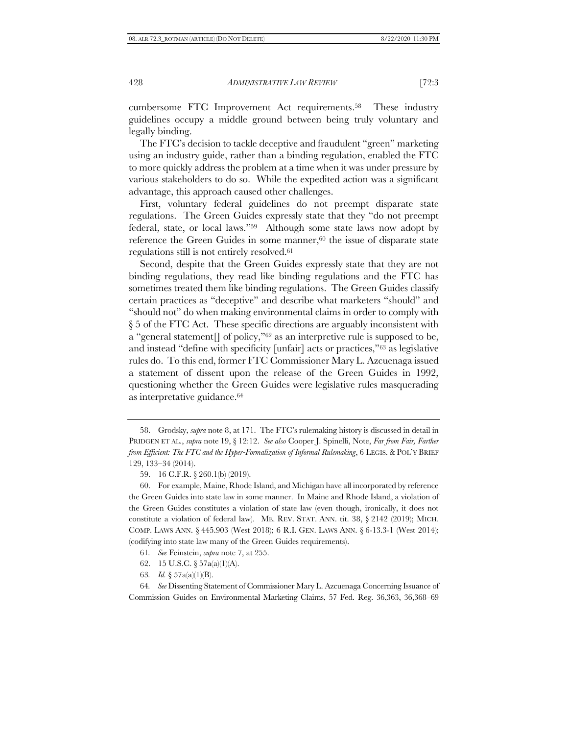cumbersome FTC Improvement Act requirements. <sup>58</sup> These industry guidelines occupy a middle ground between being truly voluntary and legally binding.

The FTC's decision to tackle deceptive and fraudulent "green" marketing using an industry guide, rather than a binding regulation, enabled the FTC to more quickly address the problem at a time when it was under pressure by various stakeholders to do so. While the expedited action was a significant advantage, this approach caused other challenges.

First, voluntary federal guidelines do not preempt disparate state regulations. The Green Guides expressly state that they "do not preempt federal, state, or local laws."59 Although some state laws now adopt by reference the Green Guides in some manner, $60$  the issue of disparate state regulations still is not entirely resolved. 61

Second, despite that the Green Guides expressly state that they are not binding regulations, they read like binding regulations and the FTC has sometimes treated them like binding regulations. The Green Guides classify certain practices as "deceptive" and describe what marketers "should" and "should not" do when making environmental claims in order to comply with § 5 of the FTC Act. These specific directions are arguably inconsistent with a "general statement  $\Box$  of policy, "<sup>62</sup> as an interpretive rule is supposed to be, and instead "define with specificity [unfair] acts or practices,"<sup>63</sup> as legislative rules do. To this end, former FTC Commissioner Mary L. Azcuenaga issued a statement of dissent upon the release of the Green Guides in 1992, questioning whether the Green Guides were legislative rules masquerading as interpretative guidance. 64

- 61*. See* Feinstein, *supra* not[e 7,](#page-3-1) at 255.
- 62. 15 U.S.C. § 57a(a)(1)(A).
- 63*. Id.* § 57a(a)(1)(B).

64*. See* Dissenting Statement of Commissioner Mary L. Azcuenaga Concerning Issuance of Commission Guides on Environmental Marketing Claims, 57 Fed. Reg. 36,363, 36,368–69

<sup>58.</sup> Grodsky, *supra* not[e 8,](#page-3-0) at 171. The FTC's rulemaking history is discussed in detail in PRIDGEN ET AL., *supra* note [19,](#page-5-0) § 12:12. *See also* Cooper J. Spinelli, Note, *Far from Fair, Farther from Efficient: The FTC and the Hyper-Formalization of Informal Rulemaking*, 6 LEGIS. & POL'Y BRIEF 129, 133–34 (2014).

<sup>59.</sup> 16 C.F.R. § 260.1(b) (2019).

<sup>60.</sup> For example, Maine, Rhode Island, and Michigan have all incorporated by reference the Green Guides into state law in some manner. In Maine and Rhode Island, a violation of the Green Guides constitutes a violation of state law (even though, ironically, it does not constitute a violation of federal law). ME. REV. STAT. ANN. tit. 38, § 2142 (2019); MICH. COMP. LAWS ANN. § 445.903 (West 2018); 6 R.I. GEN. LAWS ANN. § 6-13.3-1 (West 2014); (codifying into state law many of the Green Guides requirements).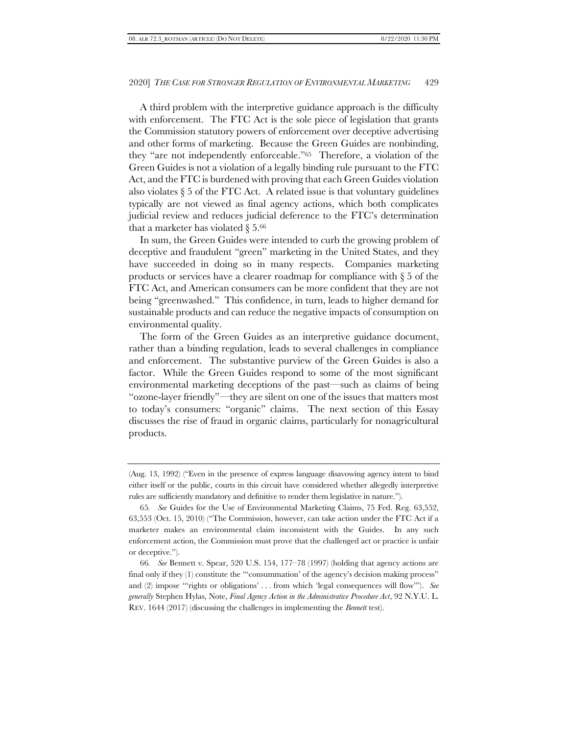A third problem with the interpretive guidance approach is the difficulty with enforcement. The FTC Act is the sole piece of legislation that grants the Commission statutory powers of enforcement over deceptive advertising and other forms of marketing. Because the Green Guides are nonbinding, they "are not independently enforceable."65 Therefore, a violation of the Green Guides is not a violation of a legally binding rule pursuant to the FTC Act, and the FTC is burdened with proving that each Green Guides violation also violates  $\S 5$  of the FTC Act. A related issue is that voluntary guidelines typically are not viewed as final agency actions, which both complicates judicial review and reduces judicial deference to the FTC's determination that a marketer has violated  $\S 5.66$ 

In sum, the Green Guides were intended to curb the growing problem of deceptive and fraudulent "green" marketing in the United States, and they have succeeded in doing so in many respects. Companies marketing products or services have a clearer roadmap for compliance with § 5 of the FTC Act, and American consumers can be more confident that they are not being "greenwashed." This confidence, in turn, leads to higher demand for sustainable products and can reduce the negative impacts of consumption on environmental quality.

The form of the Green Guides as an interpretive guidance document, rather than a binding regulation, leads to several challenges in compliance and enforcement. The substantive purview of the Green Guides is also a factor. While the Green Guides respond to some of the most significant environmental marketing deceptions of the past—such as claims of being "ozone-layer friendly"—they are silent on one of the issues that matters most to today's consumers: "organic" claims. The next section of this Essay discusses the rise of fraud in organic claims, particularly for nonagricultural products.

<sup>(</sup>Aug. 13, 1992) ("Even in the presence of express language disavowing agency intent to bind either itself or the public, courts in this circuit have considered whether allegedly interpretive rules are sufficiently mandatory and definitive to render them legislative in nature.").

<sup>65</sup>*. See* Guides for the Use of Environmental Marketing Claims, 75 Fed. Reg. 63,552, 63,553 (Oct. 15, 2010) ("The Commission, however, can take action under the FTC Act if a marketer makes an environmental claim inconsistent with the Guides. In any such enforcement action, the Commission must prove that the challenged act or practice is unfair or deceptive.").

<sup>66</sup>*. See* Bennett v. Spear, 520 U.S. 154, 177–78 (1997) (holding that agency actions are final only if they (1) constitute the ""consummation" of the agency's decision making process" and (2) impose "'rights or obligations' . . . from which 'legal consequences will flow'"). *See generally* Stephen Hylas, Note, *Final Agency Action in the Administrative Procedure Act*, 92 N.Y.U. L. REV. 1644 (2017) (discussing the challenges in implementing the *Bennett* test).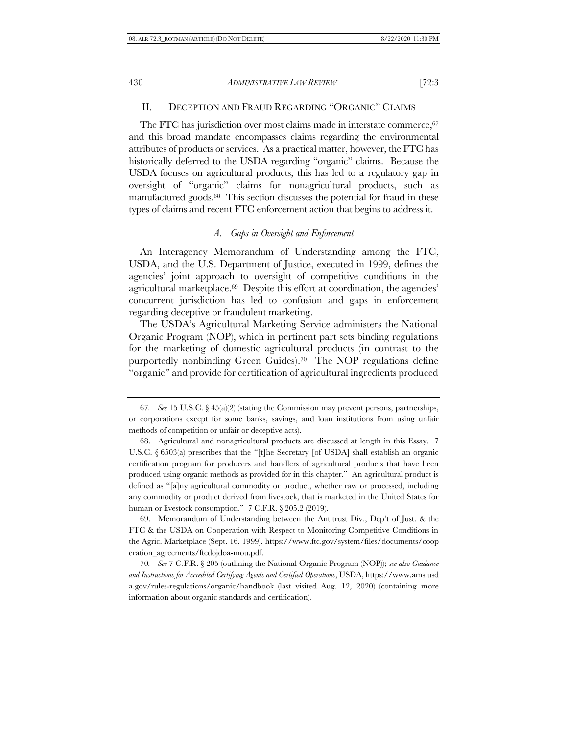# II. DECEPTION AND FRAUD REGARDING "ORGANIC" CLAIMS

The FTC has jurisdiction over most claims made in interstate commerce, 67 and this broad mandate encompasses claims regarding the environmental attributes of products or services. As a practical matter, however, the FTC has historically deferred to the USDA regarding "organic" claims. Because the USDA focuses on agricultural products, this has led to a regulatory gap in oversight of "organic" claims for nonagricultural products, such as manufactured goods. <sup>68</sup> This section discusses the potential for fraud in these types of claims and recent FTC enforcement action that begins to address it.

# *A. Gaps in Oversight and Enforcement*

An Interagency Memorandum of Understanding among the FTC, USDA, and the U.S. Department of Justice, executed in 1999, defines the agencies' joint approach to oversight of competitive conditions in the agricultural marketplace. <sup>69</sup> Despite this effort at coordination, the agencies' concurrent jurisdiction has led to confusion and gaps in enforcement regarding deceptive or fraudulent marketing.

The USDA's Agricultural Marketing Service administers the National Organic Program (NOP), which in pertinent part sets binding regulations for the marketing of domestic agricultural products (in contrast to the purportedly nonbinding Green Guides). <sup>70</sup> The NOP regulations define "organic" and provide for certification of agricultural ingredients produced

69. Memorandum of Understanding between the Antitrust Div., Dep't of Just. & the FTC & the USDA on Cooperation with Respect to Monitoring Competitive Conditions in the Agric. Marketplace (Sept. 16, 1999), https://www.ftc.gov/system/files/documents/coop eration\_agreements/ftcdojdoa-mou.pdf.

70*. See* 7 C.F.R. § 205 (outlining the National Organic Program (NOP)); *see also Guidance and Instructions for Accredited Certifying Agents and Certified Operations*, USDA, https://www.ams.usd a.gov/rules-regulations/organic/handbook (last visited Aug. 12, 2020) (containing more information about organic standards and certification).

<sup>67</sup>*. See* 15 U.S.C. § 45(a)(2) (stating the Commission may prevent persons, partnerships, or corporations except for some banks, savings, and loan institutions from using unfair methods of competition or unfair or deceptive acts).

<sup>68.</sup> Agricultural and nonagricultural products are discussed at length in this Essay. 7 U.S.C. § 6503(a) prescribes that the "[t]he Secretary [of USDA] shall establish an organic certification program for producers and handlers of agricultural products that have been produced using organic methods as provided for in this chapter." An agricultural product is defined as "[a]ny agricultural commodity or product, whether raw or processed, including any commodity or product derived from livestock, that is marketed in the United States for human or livestock consumption." 7 C.F.R. § 205.2 (2019).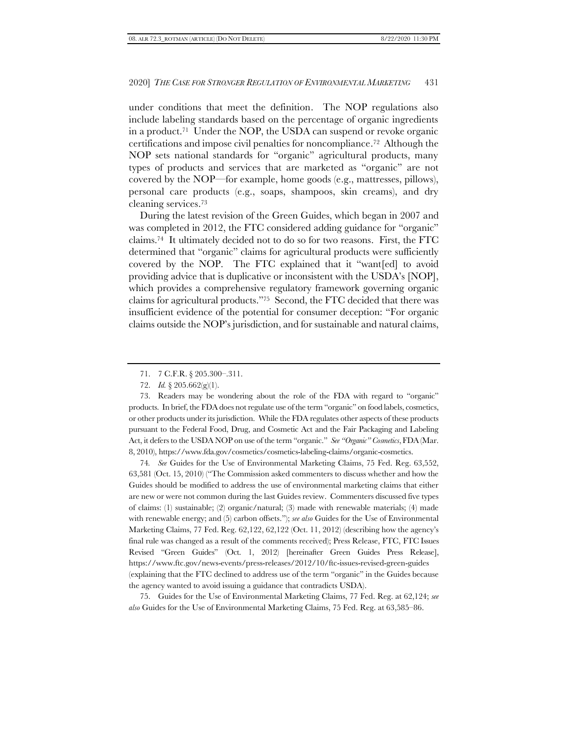under conditions that meet the definition. The NOP regulations also include labeling standards based on the percentage of organic ingredients in a product. <sup>71</sup> Under the NOP, the USDA can suspend or revoke organic certifications and impose civil penalties for noncompliance. <sup>72</sup> Although the NOP sets national standards for "organic" agricultural products, many types of products and services that are marketed as "organic" are not covered by the NOP—for example, home goods (e.g., mattresses, pillows), personal care products (e.g., soaps, shampoos, skin creams), and dry cleaning services. 73

<span id="page-15-0"></span>During the latest revision of the Green Guides, which began in 2007 and was completed in 2012, the FTC considered adding guidance for "organic" claims. <sup>74</sup> It ultimately decided not to do so for two reasons. First, the FTC determined that "organic" claims for agricultural products were sufficiently covered by the NOP. The FTC explained that it "want[ed] to avoid providing advice that is duplicative or inconsistent with the USDA's [NOP], which provides a comprehensive regulatory framework governing organic claims for agricultural products."75 Second, the FTC decided that there was insufficient evidence of the potential for consumer deception: "For organic claims outside the NOP's jurisdiction, and for sustainable and natural claims,

73. Readers may be wondering about the role of the FDA with regard to "organic" products. In brief, the FDA does not regulate use of the term "organic" on food labels, cosmetics, or other products under its jurisdiction. While the FDA regulates other aspects of these products pursuant to the Federal Food, Drug, and Cosmetic Act and the Fair Packaging and Labeling Act, it defers to the USDA NOP on use of the term "organic." *See "Organic" Cosmetics*, FDA(Mar. 8, 2010), https://www.fda.gov/cosmetics/cosmetics-labeling-claims/organic-cosmetics.

74*. See* Guides for the Use of Environmental Marketing Claims, 75 Fed. Reg. 63,552, 63,581 (Oct. 15, 2010) ("The Commission asked commenters to discuss whether and how the Guides should be modified to address the use of environmental marketing claims that either are new or were not common during the last Guides review. Commenters discussed five types of claims: (1) sustainable; (2) organic/natural; (3) made with renewable materials; (4) made with renewable energy; and (5) carbon offsets."); *see also* Guides for the Use of Environmental Marketing Claims, 77 Fed. Reg. 62,122, 62,122 (Oct. 11, 2012) (describing how the agency's final rule was changed as a result of the comments received); Press Release, FTC, FTC Issues Revised "Green Guides" (Oct. 1, 2012) [hereinafter Green Guides Press Release], https://www.ftc.gov/news-events/press-releases/2012/10/ftc-issues-revised-green-guides (explaining that the FTC declined to address use of the term "organic" in the Guides because the agency wanted to avoid issuing a guidance that contradicts USDA).

75. Guides for the Use of Environmental Marketing Claims, 77 Fed. Reg. at 62,124; *see also* Guides for the Use of Environmental Marketing Claims, 75 Fed. Reg. at 63,585–86.

<sup>71.</sup> 7 C.F.R. § 205.300–.311.

<sup>72.</sup> *Id.* § 205.662(g)(1).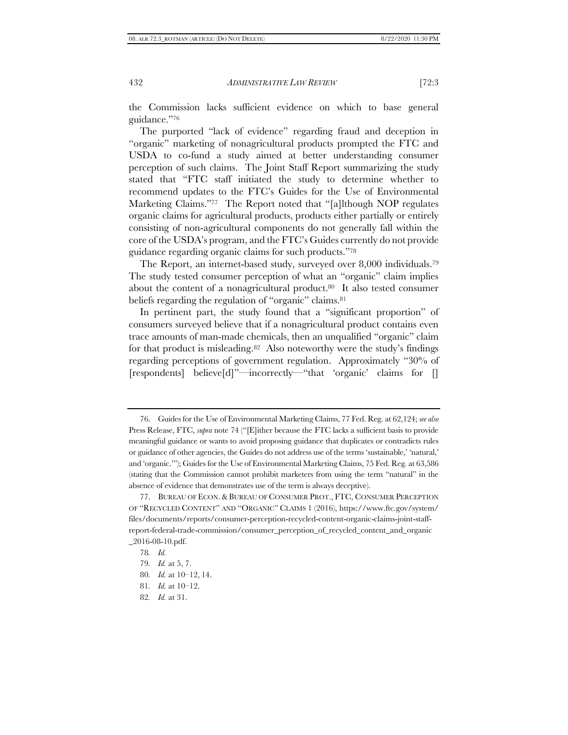the Commission lacks sufficient evidence on which to base general guidance."<sup>76</sup>

The purported "lack of evidence" regarding fraud and deception in "organic" marketing of nonagricultural products prompted the FTC and USDA to co-fund a study aimed at better understanding consumer perception of such claims. The Joint Staff Report summarizing the study stated that "FTC staff initiated the study to determine whether to recommend updates to the FTC's Guides for the Use of Environmental Marketing Claims."77 The Report noted that "[a]lthough NOP regulates organic claims for agricultural products, products either partially or entirely consisting of non-agricultural components do not generally fall within the core of the USDA's program, and the FTC's Guides currently do not provide guidance regarding organic claims for such products."<sup>78</sup>

<span id="page-16-0"></span>The Report, an internet-based study, surveyed over 8,000 individuals. 79 The study tested consumer perception of what an "organic" claim implies about the content of a nonagricultural product. <sup>80</sup> It also tested consumer beliefs regarding the regulation of "organic" claims.<sup>81</sup>

In pertinent part, the study found that a "significant proportion" of consumers surveyed believe that if a nonagricultural product contains even trace amounts of man-made chemicals, then an unqualified "organic" claim for that product is misleading. <sup>82</sup> Also noteworthy were the study's findings regarding perceptions of government regulation. Approximately "30% of [respondents] believe[d]"—incorrectly—"that 'organic' claims for []

<sup>76.</sup> Guides for the Use of Environmental Marketing Claims, 77 Fed. Reg. at 62,124; *see also* Press Release, FTC, *supra* not[e 74](#page-15-0) ("[E]ither because the FTC lacks a sufficient basis to provide meaningful guidance or wants to avoid proposing guidance that duplicates or contradicts rules or guidance of other agencies, the Guides do not address use of the terms 'sustainable,' 'natural,' and 'organic.'"); Guides for the Use of Environmental Marketing Claims, 75 Fed. Reg. at 63,586 (stating that the Commission cannot prohibit marketers from using the term "natural" in the absence of evidence that demonstrates use of the term is always deceptive).

<sup>77.</sup> BUREAU OF ECON. &BUREAU OF CONSUMER PROT., FTC, CONSUMER PERCEPTION OF "RECYCLED CONTENT" AND "ORGANIC" CLAIMS 1 (2016), https://www.ftc.gov/system/ files/documents/reports/consumer-perception-recycled-content-organic-claims-joint-staffreport-federal-trade-commission/consumer\_perception\_of\_recycled\_content\_and\_organic \_2016-08-10.pdf.

<sup>78</sup>*. Id.*

<sup>79</sup>*. Id.* at 5, 7.

<sup>80</sup>*. Id.* at 10–12, 14.

<sup>81</sup>*. Id.* at 10–12.

<sup>82</sup>*. Id.* at 31.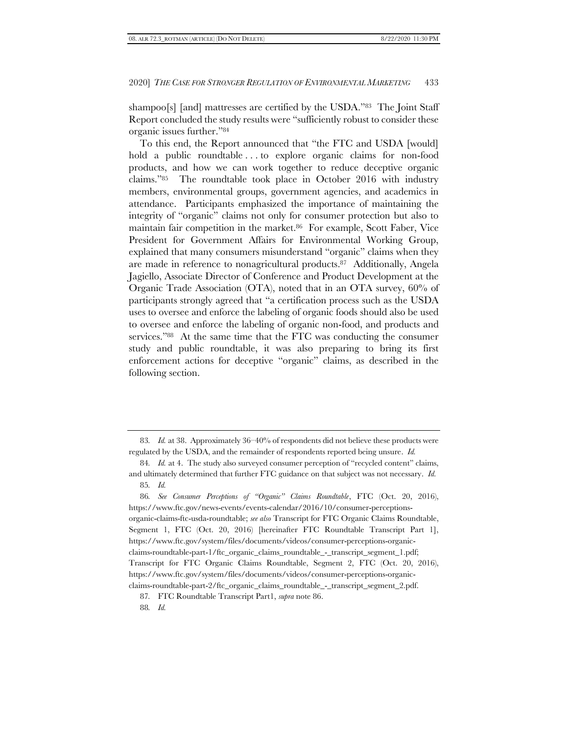shampoo[s] [and] mattresses are certified by the USDA."83 The Joint Staff Report concluded the study results were "sufficiently robust to consider these organic issues further."<sup>84</sup>

<span id="page-17-0"></span>To this end, the Report announced that "the FTC and USDA [would] hold a public roundtable . . . to explore organic claims for non-food products, and how we can work together to reduce deceptive organic claims."85 The roundtable took place in October 2016 with industry members, environmental groups, government agencies, and academics in attendance. Participants emphasized the importance of maintaining the integrity of "organic" claims not only for consumer protection but also to maintain fair competition in the market. <sup>86</sup> For example, Scott Faber, Vice President for Government Affairs for Environmental Working Group, explained that many consumers misunderstand "organic" claims when they are made in reference to nonagricultural products. <sup>87</sup> Additionally, Angela Jagiello, Associate Director of Conference and Product Development at the Organic Trade Association (OTA), noted that in an OTA survey, 60% of participants strongly agreed that "a certification process such as the USDA uses to oversee and enforce the labeling of organic foods should also be used to oversee and enforce the labeling of organic non-food, and products and services."<sup>88</sup> At the same time that the FTC was conducting the consumer study and public roundtable, it was also preparing to bring its first enforcement actions for deceptive "organic" claims, as described in the following section.

<sup>83</sup>*. Id.* at 38. Approximately 36–40% of respondents did not believe these products were regulated by the USDA, and the remainder of respondents reported being unsure. *Id.*

<sup>84</sup>*. Id.* at 4. The study also surveyed consumer perception of "recycled content" claims, and ultimately determined that further FTC guidance on that subject was not necessary. *Id.* 85*. Id.*

<sup>86</sup>*. See Consumer Perceptions of "Organic" Claims Roundtable*, FTC (Oct. 20, 2016), https://www.ftc.gov/news-events/events-calendar/2016/10/consumer-perceptionsorganic-claims-ftc-usda-roundtable; *see also* Transcript for FTC Organic Claims Roundtable, Segment 1, FTC (Oct. 20, 2016) [hereinafter FTC Roundtable Transcript Part 1], https://www.ftc.gov/system/files/documents/videos/consumer-perceptions-organicclaims-roundtable-part-1/ftc\_organic\_claims\_roundtable\_-\_transcript\_segment\_1.pdf; Transcript for FTC Organic Claims Roundtable, Segment 2, FTC (Oct. 20, 2016), https://www.ftc.gov/system/files/documents/videos/consumer-perceptions-organicclaims-roundtable-part-2/ftc\_organic\_claims\_roundtable\_-\_transcript\_segment\_2.pdf.

<sup>87</sup>*.* FTC Roundtable Transcript Part1, *supra* not[e 86.](#page-17-0)

<sup>88</sup>*. Id.*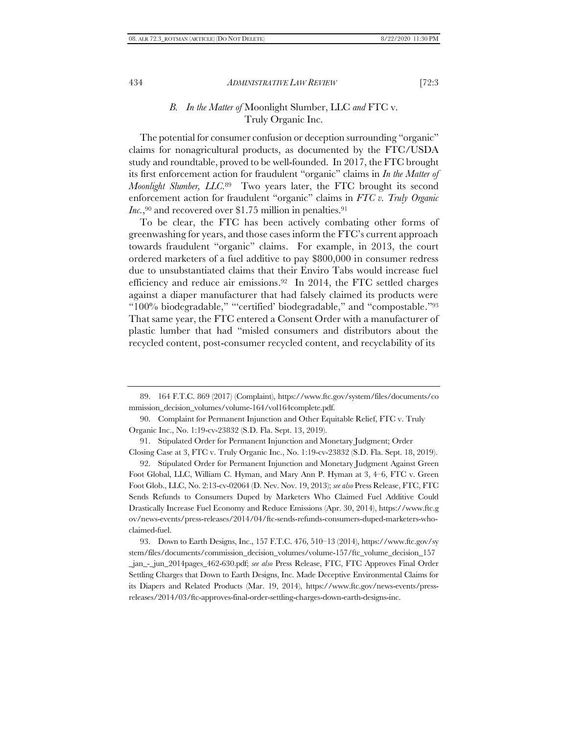# *B. In the Matter of* Moonlight Slumber, LLC *and* FTC v. Truly Organic Inc.

The potential for consumer confusion or deception surrounding "organic" claims for nonagricultural products, as documented by the FTC/USDA study and roundtable, proved to be well-founded. In 2017, the FTC brought its first enforcement action for fraudulent "organic" claims in *In the Matter of Moonlight Slumber, LLC.* <sup>89</sup> Two years later, the FTC brought its second enforcement action for fraudulent "organic" claims in *FTC v. Truly Organic*  Inc.,<sup>90</sup> and recovered over \$1.75 million in penalties.<sup>91</sup>

To be clear, the FTC has been actively combating other forms of greenwashing for years, and those cases inform the FTC's current approach towards fraudulent "organic" claims. For example, in 2013, the court ordered marketers of a fuel additive to pay \$800,000 in consumer redress due to unsubstantiated claims that their Enviro Tabs would increase fuel efficiency and reduce air emissions. <sup>92</sup> In 2014, the FTC settled charges against a diaper manufacturer that had falsely claimed its products were "100% biodegradable," "'certified' biodegradable," and "compostable."<sup>93</sup> That same year, the FTC entered a Consent Order with a manufacturer of plastic lumber that had "misled consumers and distributors about the recycled content, post-consumer recycled content, and recyclability of its

92. Stipulated Order for Permanent Injunction and Monetary Judgment Against Green Foot Global, LLC, William C. Hyman, and Mary Ann P. Hyman at 3, 4–6, FTC v. Green Foot Glob., LLC, No. 2:13-cv-02064 (D. Nev. Nov. 19, 2013); *see also* Press Release, FTC, FTC Sends Refunds to Consumers Duped by Marketers Who Claimed Fuel Additive Could Drastically Increase Fuel Economy and Reduce Emissions (Apr. 30, 2014), https://www.ftc.g ov/news-events/press-releases/2014/04/ftc-sends-refunds-consumers-duped-marketers-whoclaimed-fuel.

93. Down to Earth Designs, Inc., 157 F.T.C. 476, 510–13 (2014), https://www.ftc.gov/sy stem/files/documents/commission\_decision\_volumes/volume-157/ftc\_volume\_decision\_157 \_jan\_-\_jun\_2014pages\_462-630.pdf; *see also* Press Release, FTC, FTC Approves Final Order Settling Charges that Down to Earth Designs, Inc. Made Deceptive Environmental Claims for its Diapers and Related Products (Mar. 19, 2014), https://www.ftc.gov/news-events/pressreleases/2014/03/ftc-approves-final-order-settling-charges-down-earth-designs-inc.

<sup>89.</sup> 164 F.T.C. 869 (2017) (Complaint), https://www.ftc.gov/system/files/documents/co mmission\_decision\_volumes/volume-164/vol164complete.pdf.

<sup>90.</sup> Complaint for Permanent Injunction and Other Equitable Relief, FTC v. Truly Organic Inc., No. 1:19-cv-23832 (S.D. Fla. Sept. 13, 2019).

<sup>91.</sup> Stipulated Order for Permanent Injunction and Monetary Judgment; Order Closing Case at 3, FTC v. Truly Organic Inc., No. 1:19-cv-23832 (S.D. Fla. Sept. 18, 2019).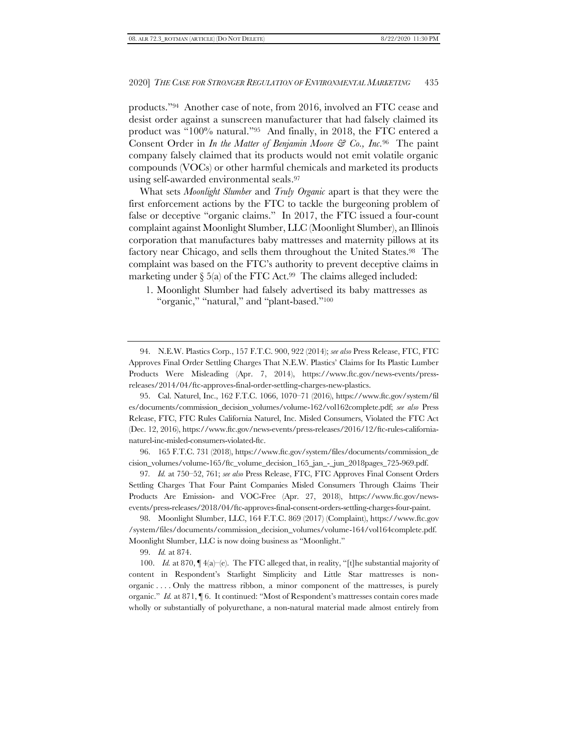products."94 Another case of note, from 2016, involved an FTC cease and desist order against a sunscreen manufacturer that had falsely claimed its product was "100% natural."95 And finally, in 2018, the FTC entered a Consent Order in *In the Matter of Benjamin Moore & Co., Inc.* <sup>96</sup> The paint company falsely claimed that its products would not emit volatile organic compounds (VOCs) or other harmful chemicals and marketed its products using self-awarded environmental seals. 97

What sets *Moonlight Slumber* and *Truly Organic* apart is that they were the first enforcement actions by the FTC to tackle the burgeoning problem of false or deceptive "organic claims." In 2017, the FTC issued a four-count complaint against Moonlight Slumber, LLC (Moonlight Slumber), an Illinois corporation that manufactures baby mattresses and maternity pillows at its factory near Chicago, and sells them throughout the United States. <sup>98</sup> The complaint was based on the FTC's authority to prevent deceptive claims in marketing under § 5(a) of the FTC Act. <sup>99</sup> The claims alleged included:

94. N.E.W. Plastics Corp., 157 F.T.C. 900, 922 (2014); *see also* Press Release, FTC, FTC Approves Final Order Settling Charges That N.E.W. Plastics' Claims for Its Plastic Lumber Products Were Misleading (Apr. 7, 2014), https://www.ftc.gov/news-events/pressreleases/2014/04/ftc-approves-final-order-settling-charges-new-plastics.

95. Cal. Naturel, Inc., 162 F.T.C. 1066, 1070–71 (2016), https://www.ftc.gov/system/fil es/documents/commission\_decision\_volumes/volume-162/vol162complete.pdf; *see also* Press Release, FTC, FTC Rules California Naturel, Inc. Misled Consumers, Violated the FTC Act (Dec. 12, 2016), https://www.ftc.gov/news-events/press-releases/2016/12/ftc-rules-californianaturel-inc-misled-consumers-violated-ftc.

96. 165 F.T.C. 731 (2018), https://www.ftc.gov/system/files/documents/commission\_de cision\_volumes/volume-165/ftc\_volume\_decision\_165\_jan\_-\_jun\_2018pages\_725-969.pdf.

97*. Id.* at 750–52, 761; *see also* Press Release, FTC, FTC Approves Final Consent Orders Settling Charges That Four Paint Companies Misled Consumers Through Claims Their Products Are Emission- and VOC-Free (Apr. 27, 2018), https://www.ftc.gov/newsevents/press-releases/2018/04/ftc-approves-final-consent-orders-settling-charges-four-paint.

98. Moonlight Slumber, LLC, 164 F.T.C. 869 (2017) (Complaint), https://www.ftc.gov /system/files/documents/commission\_decision\_volumes/volume-164/vol164complete.pdf. Moonlight Slumber, LLC is now doing business as "Moonlight."

99. *Id.* at 874.

100. *Id.* at 870, ¶ 4(a)–(e). The FTC alleged that, in reality, "[t]he substantial majority of content in Respondent's Starlight Simplicity and Little Star mattresses is nonorganic . . . . Only the mattress ribbon, a minor component of the mattresses, is purely organic." *Id.* at 871, ¶ 6. It continued: "Most of Respondent's mattresses contain cores made wholly or substantially of polyurethane, a non-natural material made almost entirely from

<sup>1.</sup> Moonlight Slumber had falsely advertised its baby mattresses as "organic," "natural," and "plant-based."<sup>100</sup>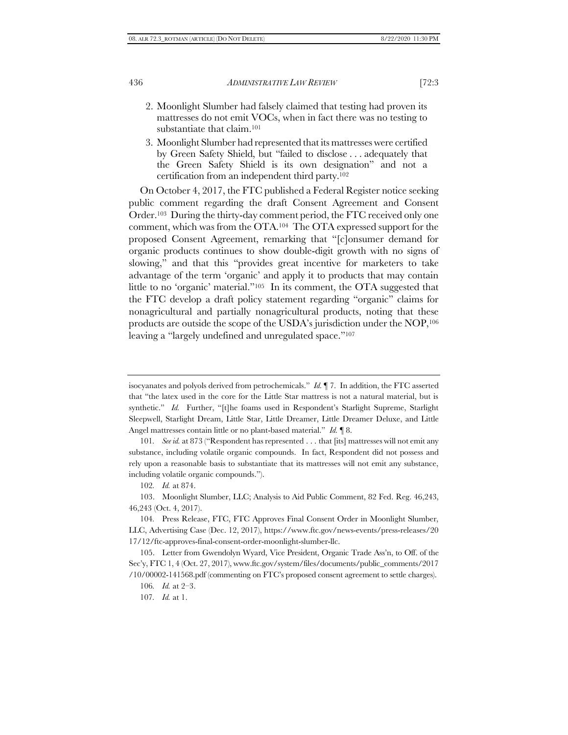- 2. Moonlight Slumber had falsely claimed that testing had proven its mattresses do not emit VOCs, when in fact there was no testing to substantiate that claim. 101
- 3. Moonlight Slumber had represented that its mattresses were certified by Green Safety Shield, but "failed to disclose . . . adequately that the Green Safety Shield is its own designation" and not a certification from an independent third party. 102

On October 4, 2017, the FTC published a Federal Register notice seeking public comment regarding the draft Consent Agreement and Consent Order. <sup>103</sup> During the thirty-day comment period, the FTC received only one comment, which was from the OTA. <sup>104</sup> The OTA expressed support for the proposed Consent Agreement, remarking that "[c]onsumer demand for organic products continues to show double-digit growth with no signs of slowing," and that this "provides great incentive for marketers to take advantage of the term 'organic' and apply it to products that may contain little to no 'organic' material."105 In its comment, the OTA suggested that the FTC develop a draft policy statement regarding "organic" claims for nonagricultural and partially nonagricultural products, noting that these products are outside the scope of the USDA's jurisdiction under the NOP,<sup>106</sup> leaving a "largely undefined and unregulated space."<sup>107</sup>

isocyanates and polyols derived from petrochemicals." *Id.* ¶ 7. In addition, the FTC asserted that "the latex used in the core for the Little Star mattress is not a natural material, but is synthetic." *Id.* Further, "[t]he foams used in Respondent's Starlight Supreme, Starlight Sleepwell, Starlight Dream, Little Star, Little Dreamer, Little Dreamer Deluxe, and Little Angel mattresses contain little or no plant-based material." *Id.* ¶ 8.

<sup>101</sup>*. See id.* at 873 ("Respondent has represented . . . that [its] mattresses will not emit any substance, including volatile organic compounds. In fact, Respondent did not possess and rely upon a reasonable basis to substantiate that its mattresses will not emit any substance, including volatile organic compounds.").

<sup>102</sup>*. Id.* at 874.

<sup>103.</sup> Moonlight Slumber, LLC; Analysis to Aid Public Comment, 82 Fed. Reg. 46,243, 46,243 (Oct. 4, 2017).

<sup>104</sup>*.* Press Release, FTC, FTC Approves Final Consent Order in Moonlight Slumber, LLC, Advertising Case (Dec. 12, 2017), https://www.ftc.gov/news-events/press-releases/20 17/12/ftc-approves-final-consent-order-moonlight-slumber-llc.

<sup>105.</sup> Letter from Gwendolyn Wyard, Vice President, Organic Trade Ass'n, to Off. of the Sec'y, FTC 1, 4 (Oct. 27, 2017), www.ftc.gov/system/files/documents/public\_comments/2017 /10/00002-141568.pdf (commenting on FTC's proposed consent agreement to settle charges).

<sup>106</sup>*. Id.* at 2–3.

<sup>107</sup>*. Id.* at 1.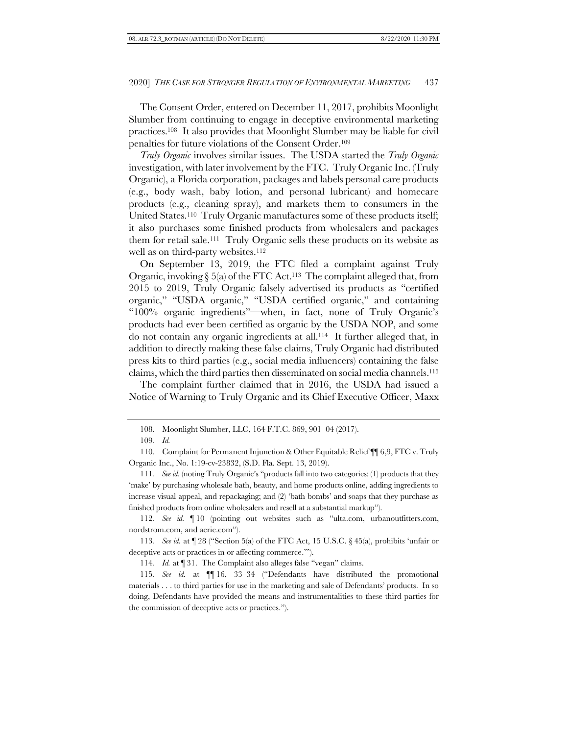The Consent Order, entered on December 11, 2017, prohibits Moonlight Slumber from continuing to engage in deceptive environmental marketing practices. <sup>108</sup> It also provides that Moonlight Slumber may be liable for civil penalties for future violations of the Consent Order. 109

*Truly Organic* involves similar issues. The USDA started the *Truly Organic* investigation, with later involvement by the FTC. Truly Organic Inc. (Truly Organic), a Florida corporation, packages and labels personal care products (e.g., body wash, baby lotion, and personal lubricant) and homecare products (e.g., cleaning spray), and markets them to consumers in the United States. <sup>110</sup> Truly Organic manufactures some of these products itself; it also purchases some finished products from wholesalers and packages them for retail sale. <sup>111</sup> Truly Organic sells these products on its website as well as on third-party websites. 112

On September 13, 2019, the FTC filed a complaint against Truly Organic, invoking § 5(a) of the FTC Act. <sup>113</sup> The complaint alleged that, from 2015 to 2019, Truly Organic falsely advertised its products as "certified organic," "USDA organic," "USDA certified organic," and containing "100% organic ingredients"—when, in fact, none of Truly Organic's products had ever been certified as organic by the USDA NOP, and some do not contain any organic ingredients at all. <sup>114</sup> It further alleged that, in addition to directly making these false claims, Truly Organic had distributed press kits to third parties (e.g., social media influencers) containing the false claims, which the third parties then disseminated on social media channels. 115

The complaint further claimed that in 2016, the USDA had issued a Notice of Warning to Truly Organic and its Chief Executive Officer, Maxx

112*. See id.* ¶ 10 (pointing out websites such as "ulta.com, urbanoutfitters.com, nordstrom.com, and aerie.com").

113*. See id.* at ¶ 28 ("Section 5(a) of the FTC Act, 15 U.S.C. § 45(a), prohibits 'unfair or deceptive acts or practices in or affecting commerce.'").

114*. Id.* at ¶ 31. The Complaint also alleges false "vegan" claims.

115*. See id.* at ¶¶ 16, 33–34 ("Defendants have distributed the promotional materials . . . to third parties for use in the marketing and sale of Defendants' products. In so doing, Defendants have provided the means and instrumentalities to these third parties for the commission of deceptive acts or practices.").

<sup>108.</sup> Moonlight Slumber, LLC, 164 F.T.C. 869, 901–04 (2017).

<sup>109</sup>*. Id.*

<sup>110.</sup> Complaint for Permanent Injunction & Other Equitable Relief ¶¶ 6,9, FTC v. Truly Organic Inc., No. 1:19-cv-23832, (S.D. Fla. Sept. 13, 2019).

<sup>111</sup>*. See id.* (noting Truly Organic's "products fall into two categories: (1) products that they 'make' by purchasing wholesale bath, beauty, and home products online, adding ingredients to increase visual appeal, and repackaging; and (2) 'bath bombs' and soaps that they purchase as finished products from online wholesalers and resell at a substantial markup").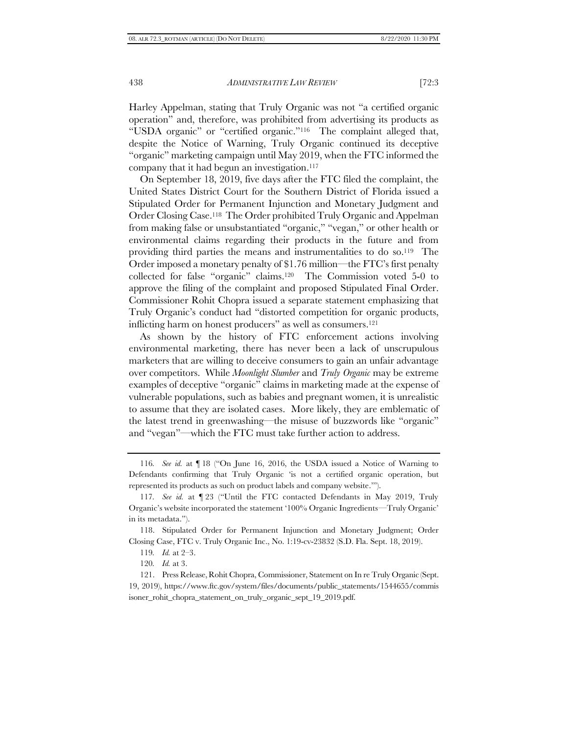Harley Appelman, stating that Truly Organic was not "a certified organic operation" and, therefore, was prohibited from advertising its products as "USDA organic" or "certified organic."116 The complaint alleged that, despite the Notice of Warning, Truly Organic continued its deceptive "organic" marketing campaign until May 2019, when the FTC informed the company that it had begun an investigation. 117

On September 18, 2019, five days after the FTC filed the complaint, the United States District Court for the Southern District of Florida issued a Stipulated Order for Permanent Injunction and Monetary Judgment and Order Closing Case. <sup>118</sup> The Order prohibited Truly Organic and Appelman from making false or unsubstantiated "organic," "vegan," or other health or environmental claims regarding their products in the future and from providing third parties the means and instrumentalities to do so. <sup>119</sup> The Order imposed a monetary penalty of \$1.76 million—the FTC's first penalty collected for false "organic" claims. <sup>120</sup> The Commission voted 5-0 to approve the filing of the complaint and proposed Stipulated Final Order. Commissioner Rohit Chopra issued a separate statement emphasizing that Truly Organic's conduct had "distorted competition for organic products, inflicting harm on honest producers" as well as consumers.<sup>121</sup>

As shown by the history of FTC enforcement actions involving environmental marketing, there has never been a lack of unscrupulous marketers that are willing to deceive consumers to gain an unfair advantage over competitors. While *Moonlight Slumber* and *Truly Organic* may be extreme examples of deceptive "organic" claims in marketing made at the expense of vulnerable populations, such as babies and pregnant women, it is unrealistic to assume that they are isolated cases. More likely, they are emblematic of the latest trend in greenwashing—the misuse of buzzwords like "organic" and "vegan"—which the FTC must take further action to address.

<sup>116</sup>*. See id.* at ¶ 18 ("On June 16, 2016, the USDA issued a Notice of Warning to Defendants confirming that Truly Organic 'is not a certified organic operation, but represented its products as such on product labels and company website.'").

<sup>117</sup>*. See id.* at ¶ 23 ("Until the FTC contacted Defendants in May 2019, Truly Organic's website incorporated the statement '100% Organic Ingredients—Truly Organic' in its metadata.").

<sup>118.</sup> Stipulated Order for Permanent Injunction and Monetary Judgment; Order Closing Case, FTC v. Truly Organic Inc., No. 1:19-cv-23832 (S.D. Fla. Sept. 18, 2019).

<sup>119</sup>*. Id.* at 2–3.

<sup>120</sup>*. Id.* at 3.

<sup>121.</sup> Press Release, Rohit Chopra, Commissioner, Statement on In re Truly Organic (Sept. 19, 2019), https://www.ftc.gov/system/files/documents/public\_statements/1544655/commis isoner\_rohit\_chopra\_statement\_on\_truly\_organic\_sept\_19\_2019.pdf.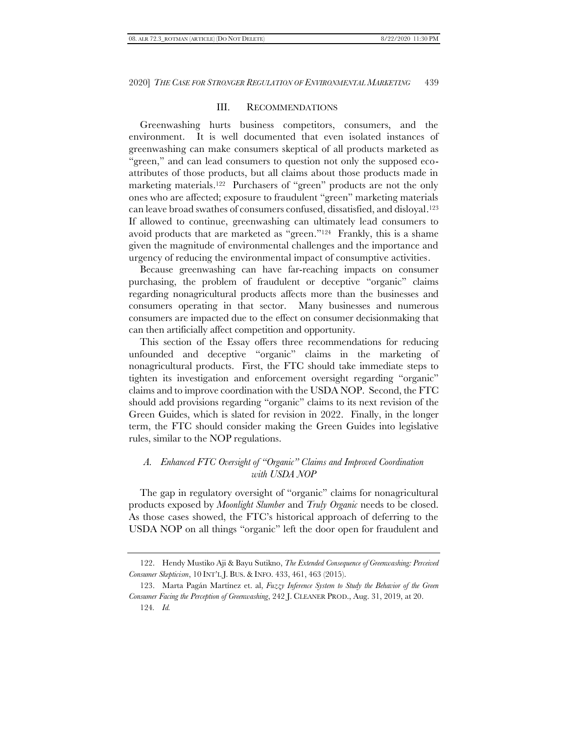### III. RECOMMENDATIONS

Greenwashing hurts business competitors, consumers, and the environment. It is well documented that even isolated instances of greenwashing can make consumers skeptical of all products marketed as "green," and can lead consumers to question not only the supposed ecoattributes of those products, but all claims about those products made in marketing materials. <sup>122</sup> Purchasers of "green" products are not the only ones who are affected; exposure to fraudulent "green" marketing materials can leave broad swathes of consumers confused, dissatisfied, and disloyal. <sup>123</sup> If allowed to continue, greenwashing can ultimately lead consumers to avoid products that are marketed as "green."124 Frankly, this is a shame given the magnitude of environmental challenges and the importance and urgency of reducing the environmental impact of consumptive activities.

Because greenwashing can have far-reaching impacts on consumer purchasing, the problem of fraudulent or deceptive "organic" claims regarding nonagricultural products affects more than the businesses and consumers operating in that sector. Many businesses and numerous consumers are impacted due to the effect on consumer decisionmaking that can then artificially affect competition and opportunity.

This section of the Essay offers three recommendations for reducing unfounded and deceptive "organic" claims in the marketing of nonagricultural products. First, the FTC should take immediate steps to tighten its investigation and enforcement oversight regarding "organic" claims and to improve coordination with the USDA NOP. Second, the FTC should add provisions regarding "organic" claims to its next revision of the Green Guides, which is slated for revision in 2022. Finally, in the longer term, the FTC should consider making the Green Guides into legislative rules, similar to the NOP regulations.

# *A. Enhanced FTC Oversight of "Organic" Claims and Improved Coordination with USDA NOP*

The gap in regulatory oversight of "organic" claims for nonagricultural products exposed by *Moonlight Slumber* and *Truly Organic* needs to be closed. As those cases showed, the FTC's historical approach of deferring to the USDA NOP on all things "organic" left the door open for fraudulent and

<sup>122.</sup> Hendy Mustiko Aji & Bayu Sutikno, *The Extended Consequence of Greenwashing: Perceived Consumer Skepticism*, 10 INT'L J. BUS. & INFO. 433, 461, 463 (2015).

<sup>123.</sup> Marta Pagán Martínez et. al, *Fuzzy Inference System to Study the Behavior of the Green Consumer Facing the Perception of Greenwashing*, 242 J. CLEANER PROD., Aug. 31, 2019, at 20. 124*. Id.*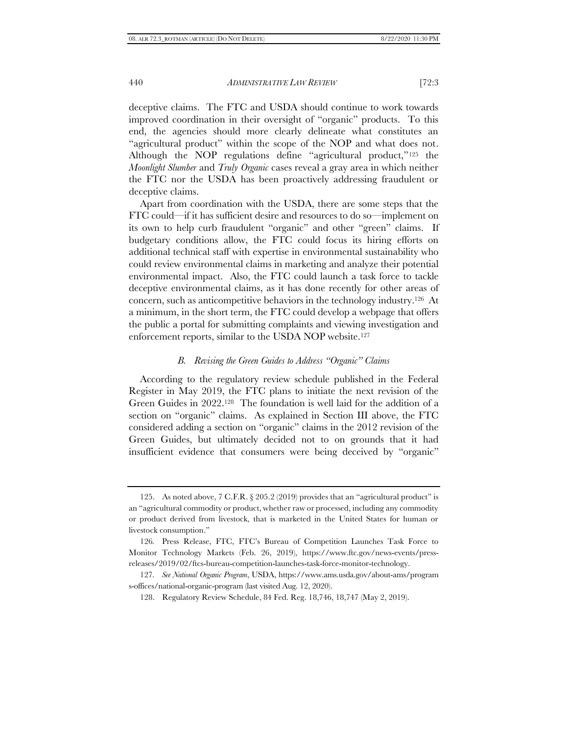deceptive claims. The FTC and USDA should continue to work towards improved coordination in their oversight of "organic" products. To this end, the agencies should more clearly delineate what constitutes an "agricultural product" within the scope of the NOP and what does not. Although the NOP regulations define "agricultural product,"<sup>125</sup> the *Moonlight Slumber* and *Truly Organic* cases reveal a gray area in which neither the FTC nor the USDA has been proactively addressing fraudulent or deceptive claims.

Apart from coordination with the USDA, there are some steps that the FTC could—if it has sufficient desire and resources to do so—implement on its own to help curb fraudulent "organic" and other "green" claims. If budgetary conditions allow, the FTC could focus its hiring efforts on additional technical staff with expertise in environmental sustainability who could review environmental claims in marketing and analyze their potential environmental impact. Also, the FTC could launch a task force to tackle deceptive environmental claims, as it has done recently for other areas of concern, such as anticompetitive behaviors in the technology industry. <sup>126</sup> At a minimum, in the short term, the FTC could develop a webpage that offers the public a portal for submitting complaints and viewing investigation and enforcement reports, similar to the USDA NOP website. 127

#### *B. Revising the Green Guides to Address "Organic" Claims*

According to the regulatory review schedule published in the Federal Register in May 2019, the FTC plans to initiate the next revision of the Green Guides in 2022. <sup>128</sup> The foundation is well laid for the addition of a section on "organic" claims. As explained in Section III above, the FTC considered adding a section on "organic" claims in the 2012 revision of the Green Guides, but ultimately decided not to on grounds that it had insufficient evidence that consumers were being deceived by "organic"

<sup>125.</sup> As noted above, 7 C.F.R. § 205.2 (2019) provides that an "agricultural product" is an "agricultural commodity or product, whether raw or processed, including any commodity or product derived from livestock, that is marketed in the United States for human or livestock consumption."

<sup>126</sup>*.* Press Release, FTC, FTC's Bureau of Competition Launches Task Force to Monitor Technology Markets (Feb. 26, 2019), https://www.ftc.gov/news-events/pressreleases/2019/02/ftcs-bureau-competition-launches-task-force-monitor-technology.

<sup>127</sup>*. See National Organic Program*, USDA, https://www.ams.usda.gov/about-ams/program s-offices/national-organic-program (last visited Aug. 12, 2020).

<sup>128.</sup> Regulatory Review Schedule, 84 Fed. Reg. 18,746, 18,747 (May 2, 2019).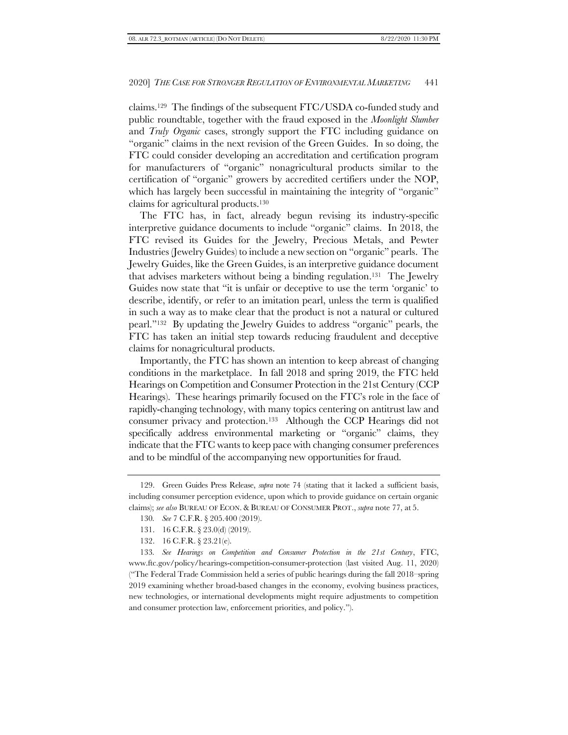claims. <sup>129</sup> The findings of the subsequent FTC/USDA co-funded study and public roundtable, together with the fraud exposed in the *Moonlight Slumber* and *Truly Organic* cases, strongly support the FTC including guidance on "organic" claims in the next revision of the Green Guides. In so doing, the FTC could consider developing an accreditation and certification program for manufacturers of "organic" nonagricultural products similar to the certification of "organic" growers by accredited certifiers under the NOP, which has largely been successful in maintaining the integrity of "organic" claims for agricultural products. 130

The FTC has, in fact, already begun revising its industry-specific interpretive guidance documents to include "organic" claims. In 2018, the FTC revised its Guides for the Jewelry, Precious Metals, and Pewter Industries (Jewelry Guides) to include a new section on "organic" pearls. The Jewelry Guides, like the Green Guides, is an interpretive guidance document that advises marketers without being a binding regulation. <sup>131</sup> The Jewelry Guides now state that "it is unfair or deceptive to use the term 'organic' to describe, identify, or refer to an imitation pearl, unless the term is qualified in such a way as to make clear that the product is not a natural or cultured pearl."<sup>132</sup> By updating the Jewelry Guides to address "organic" pearls, the FTC has taken an initial step towards reducing fraudulent and deceptive claims for nonagricultural products.

Importantly, the FTC has shown an intention to keep abreast of changing conditions in the marketplace. In fall 2018 and spring 2019, the FTC held Hearings on Competition and Consumer Protection in the 21st Century (CCP Hearings). These hearings primarily focused on the FTC's role in the face of rapidly-changing technology, with many topics centering on antitrust law and consumer privacy and protection. <sup>133</sup> Although the CCP Hearings did not specifically address environmental marketing or "organic" claims, they indicate that the FTC wants to keep pace with changing consumer preferences and to be mindful of the accompanying new opportunities for fraud.

- 130*. See* 7 C.F.R. § 205.400 (2019).
- 131. 16 C.F.R. § 23.0(d) (2019).
- 132. 16 C.F.R. § 23.21(e).

133*. See Hearings on Competition and Consumer Protection in the 21st Century*, FTC, www.ftc.gov/policy/hearings-competition-consumer-protection (last visited Aug. 11, 2020) ("The Federal Trade Commission held a series of public hearings during the fall 2018–spring 2019 examining whether broad-based changes in the economy, evolving business practices, new technologies, or international developments might require adjustments to competition and consumer protection law, enforcement priorities, and policy.").

<sup>129.</sup> Green Guides Press Release, *supra* note [74](#page-15-0) (stating that it lacked a sufficient basis, including consumer perception evidence, upon which to provide guidance on certain organic claims); *see also* BUREAU OF ECON. & BUREAU OF CONSUMER PROT., *supra* not[e 77,](#page-16-0) at 5.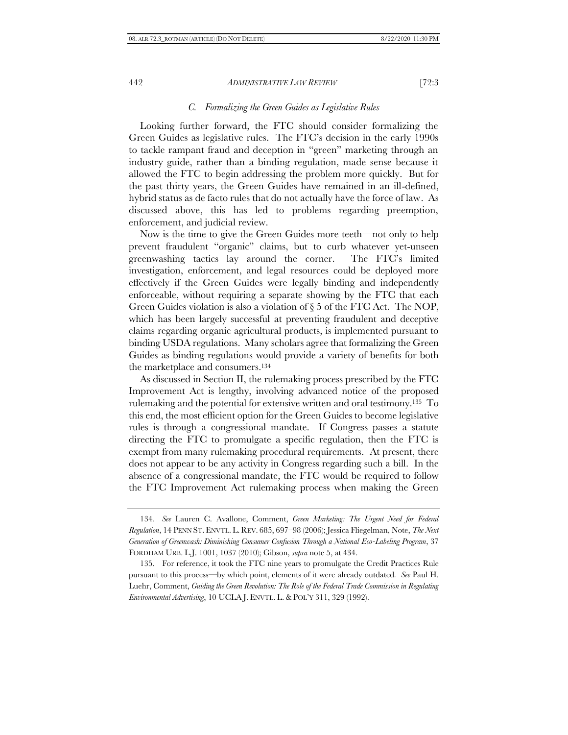#### *C. Formalizing the Green Guides as Legislative Rules*

Looking further forward, the FTC should consider formalizing the Green Guides as legislative rules. The FTC's decision in the early 1990s to tackle rampant fraud and deception in "green" marketing through an industry guide, rather than a binding regulation, made sense because it allowed the FTC to begin addressing the problem more quickly. But for the past thirty years, the Green Guides have remained in an ill-defined, hybrid status as de facto rules that do not actually have the force of law. As discussed above, this has led to problems regarding preemption, enforcement, and judicial review.

Now is the time to give the Green Guides more teeth—not only to help prevent fraudulent "organic" claims, but to curb whatever yet-unseen greenwashing tactics lay around the corner. The FTC's limited investigation, enforcement, and legal resources could be deployed more effectively if the Green Guides were legally binding and independently enforceable, without requiring a separate showing by the FTC that each Green Guides violation is also a violation of § 5 of the FTC Act. The NOP, which has been largely successful at preventing fraudulent and deceptive claims regarding organic agricultural products, is implemented pursuant to binding USDA regulations. Many scholars agree that formalizing the Green Guides as binding regulations would provide a variety of benefits for both the marketplace and consumers. 134

As discussed in Section II, the rulemaking process prescribed by the FTC Improvement Act is lengthy, involving advanced notice of the proposed rulemaking and the potential for extensive written and oral testimony. <sup>135</sup> To this end, the most efficient option for the Green Guides to become legislative rules is through a congressional mandate. If Congress passes a statute directing the FTC to promulgate a specific regulation, then the FTC is exempt from many rulemaking procedural requirements. At present, there does not appear to be any activity in Congress regarding such a bill. In the absence of a congressional mandate, the FTC would be required to follow the FTC Improvement Act rulemaking process when making the Green

<sup>134</sup>*. See* Lauren C. Avallone, Comment, *Green Marketing: The Urgent Need for Federal Regulation*, 14 PENN ST. ENVTL. L. REV. 685, 697–98 (2006); Jessica Fliegelman, Note, *The Next Generation of Greenwash: Diminishing Consumer Confusion Through a National Eco-Labeling Program*, 37 FORDHAM URB. L.J. 1001, 1037 (2010); Gibson, *supra* note [5,](#page-3-2) at 434.

<sup>135.</sup> For reference, it took the FTC nine years to promulgate the Credit Practices Rule pursuant to this process—by which point, elements of it were already outdated*. See* Paul H. Luehr, Comment, *Guiding the Green Revolution: The Role of the Federal Trade Commission in Regulating Environmental Advertising*, 10 UCLA J. ENVTL. L. & POL'Y 311, 329 (1992).